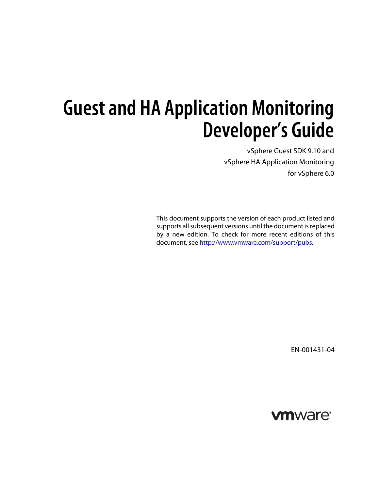# **Guest and HA Application Monitoring Developer's Guide**

vSphere Guest SDK 9.10 and vSphere HA Application Monitoring for vSphere 6.0

This document supports the version of each product listed and supports all subsequent versions until the document is replaced by a new edition. To check for more recent editions of this document, see <http://www.vmware.com/support/pubs>.

EN-001431-04

# **vm**ware<sup>®</sup>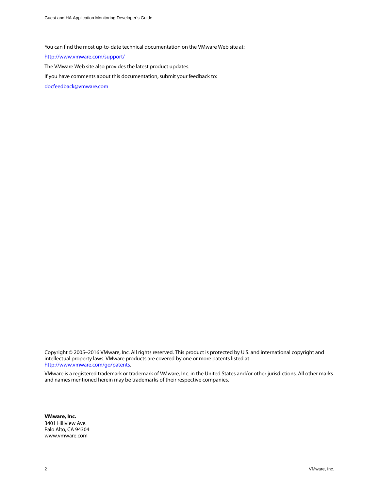You can find the most up-to-date technical documentation on the VMware Web site at:

[http://www.vmware.com/support/](http://www.vmware.com/support)

The VMware Web site also provides the latest product updates.

If you have comments about this documentation, submit your feedback to:

[docfeedback@vmware.com](mailto:docfeedback@vmware.com)

Copyright © 2005–2016 VMware, Inc. All rights reserved. This product is protected by U.S[. and international copyright and](http://www.vmware.com/go/patents)  intellectual property laws. VMware products are covered by one or more patents listed at <http://www.vmware.com/go/patents>.

VMware is a registered trademark or trademark of VMware, Inc. in the United States and/or other jurisdictions. All other marks and names mentioned herein may be trademarks of their respective companies.

**VMware, Inc.** 3401 Hillview Ave. Palo Alto, CA 94304 www.vmware.com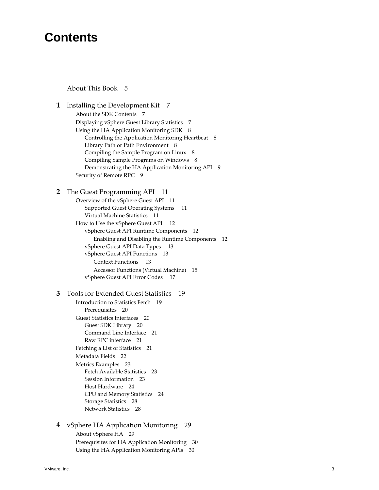# **Contents**

[About This Book 5](#page-4-0)

| 1              | Installing the Development Kit<br>7<br>About the SDK Contents<br>7<br>Displaying vSphere Guest Library Statistics<br>7<br>Using the HA Application Monitoring SDK<br>8<br>Controlling the Application Monitoring Heartbeat<br>8<br>Library Path or Path Environment<br>8<br>Compiling the Sample Program on Linux<br>8<br>Compiling Sample Programs on Windows<br>8                                                                                                                                                |  |  |
|----------------|--------------------------------------------------------------------------------------------------------------------------------------------------------------------------------------------------------------------------------------------------------------------------------------------------------------------------------------------------------------------------------------------------------------------------------------------------------------------------------------------------------------------|--|--|
|                | Demonstrating the HA Application Monitoring API<br>9<br>Security of Remote RPC<br>9                                                                                                                                                                                                                                                                                                                                                                                                                                |  |  |
| $\overline{2}$ | The Guest Programming API 11<br>Overview of the vSphere Guest API<br>11<br><b>Supported Guest Operating Systems</b><br>11<br>Virtual Machine Statistics<br>11<br>How to Use the vSphere Guest API<br>12<br>vSphere Guest API Runtime Components 12<br>Enabling and Disabling the Runtime Components<br>12<br>vSphere Guest API Data Types<br>13<br>vSphere Guest API Functions<br>13<br><b>Context Functions</b><br>13<br><b>Accessor Functions (Virtual Machine)</b><br>15<br>vSphere Guest API Error Codes<br>17 |  |  |
| 3              | <b>Tools for Extended Guest Statistics</b><br>19<br>Introduction to Statistics Fetch 19<br>Prerequisites<br>20<br><b>Guest Statistics Interfaces</b><br>20<br>Guest SDK Library 20<br>Command Line Interface<br>21<br>Raw RPC interface<br>21<br>Fetching a List of Statistics 21<br>Metadata Fields<br>22<br>Metrics Examples 23<br><b>Fetch Available Statistics</b><br>23<br>Session Information<br>23                                                                                                          |  |  |

[Host Hardware 24](#page-23-0)

[CPU and Memory Statistics 24](#page-23-1)

[Storage Statistics 28](#page-27-0) [Network Statistics 28](#page-27-1)

**[4](#page-28-0)** [vSphere HA Application Monitoring 29](#page-28-1) [About vSphere HA 29](#page-28-2) [Prerequisites for HA Application Monitoring 30](#page-29-0) [Using the HA Application Monitoring APIs 30](#page-29-1)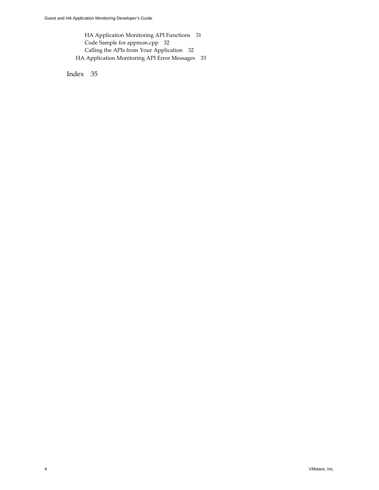[HA Application Monitoring API Functions 31](#page-30-0) [Code Sample for appmon.cpp 32](#page-31-0) [Calling the APIs from Your Application 32](#page-31-1) [HA Application Monitoring API Error Messages 33](#page-32-0)

[Index 35](#page-34-0)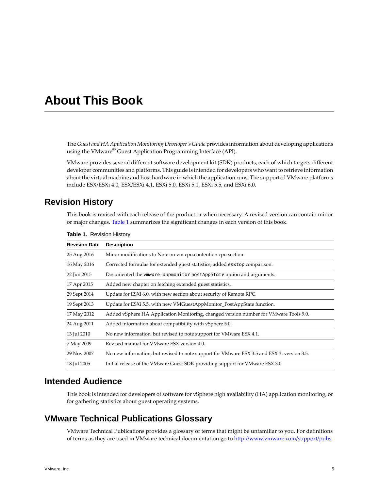# <span id="page-4-0"></span>**About This Book**

The *Guest and HA Application Monitoring Developer's Guide* provides information about developing applications using the VMware<sup>®</sup> Guest Application Programming Interface (API).

VMware provides several different software development kit (SDK) products, each of which targets different developer communities and platforms. This guide is intended for developers who want to retrieve information about the virtual machine and host hardware in which the application runs. The supported VMware platforms include ESX/ESXi 4.0, ESX/ESXi 4.1, ESXi 5.0, ESXi 5.1, ESXi 5.5, and ESXi 6.0.

#### **Revision History**

This book is revised with each release of the product or when necessary. A revised version can contain minor or major changes. [Table 1](#page-4-1) summarizes the significant changes in each version of this book.

| <b>Revision Date</b> | <b>Description</b>                                                                         |
|----------------------|--------------------------------------------------------------------------------------------|
| 25 Aug 2016          | Minor modifications to Note on ym.cpu.contention.cpu section.                              |
| 16 May 2016          | Corrected formulas for extended guest statistics; added esxtop comparison.                 |
| 22 Jun 2015          | Documented the vmware-appmonitor postAppState option and arguments.                        |
| 17 Apr 2015          | Added new chapter on fetching extended guest statistics.                                   |
| 29 Sept 2014         | Update for ESXi 6.0, with new section about security of Remote RPC.                        |
| 19 Sept 2013         | Update for ESXi 5.5, with new VMGuestAppMonitor PostAppState function.                     |
| 17 May 2012          | Added vSphere HA Application Monitoring, changed version number for VMware Tools 9.0.      |
| 24 Aug 2011          | Added information about compatibility with vSphere 5.0.                                    |
| 13 Jul 2010          | No new information, but revised to note support for VMware ESX 4.1.                        |
| 7 May 2009           | Revised manual for VMware ESX version 4.0.                                                 |
| 29 Nov 2007          | No new information, but revised to note support for VMware ESX 3.5 and ESX 3i version 3.5. |
| 18 Jul 2005          | Initial release of the VMware Guest SDK providing support for VMware ESX 3.0.              |

<span id="page-4-1"></span>**Table 1.** Revision History

#### **Intended Audience**

This book is intended for developers of software for vSphere high availability (HA) application monitoring, or for gathering statistics about guest operating systems.

#### **VMware Technical Publications Glossary**

VMware Technical Publications provides a glossary of terms that might be unfamiliar to you. For definitions of terms as they are used in VMware technical documentation go to<http://www.vmware.com/support/pubs>.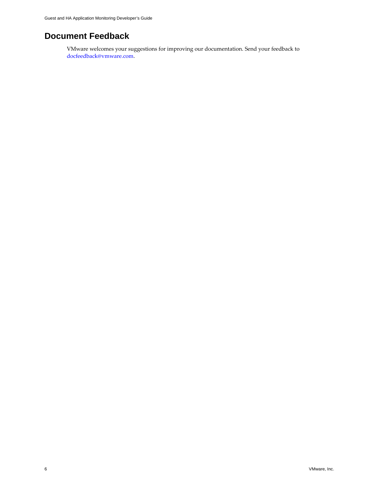### **Document Feedback**

[VMware welcomes your suggestions for improving our documentation. Send your feedback to](mailto:docfeedback@vmware.com)  docfeedback@vmware.com.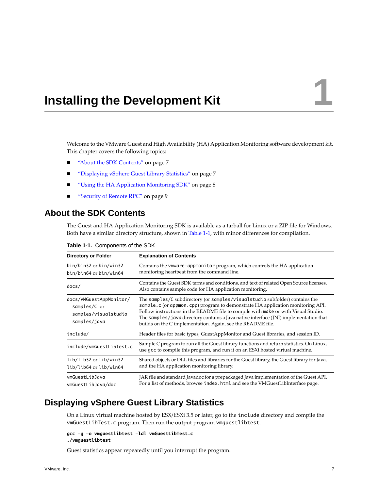# <span id="page-6-1"></span><span id="page-6-0"></span>**Installing the Development Kit**

Welcome to the VMware Guest and High Availability (HA) Application Monitoring software development kit. This chapter covers the following topics:

- ["About the SDK Contents" on page 7](#page-6-2)
- ["Displaying vSphere Guest Library Statistics" on page 7](#page-6-3)
- ["Using the HA Application Monitoring SDK" on page 8](#page-7-0)
- ["Security of Remote RPC" on page 9](#page-8-1)

#### <span id="page-6-2"></span>**About the SDK Contents**

The Guest and HA Application Monitoring SDK is available as a tarball for Linux or a ZIP file for Windows. Both have a similar directory structure, shown in [Table 1-1](#page-6-4), with minor differences for compilation.

| <b>Directory or Folder</b>                                                      | <b>Explanation of Contents</b>                                                                                                                                                                                                                                                                                                                                                                              |  |  |  |  |
|---------------------------------------------------------------------------------|-------------------------------------------------------------------------------------------------------------------------------------------------------------------------------------------------------------------------------------------------------------------------------------------------------------------------------------------------------------------------------------------------------------|--|--|--|--|
| bin/bin32 or bin/win32<br>bin/bin64 or bin/win64                                | Contains the vmware-appmonitor program, which controls the HA application<br>monitoring heartbeat from the command line.                                                                                                                                                                                                                                                                                    |  |  |  |  |
| docs/                                                                           | Contains the Guest SDK terms and conditions, and text of related Open Source licenses.<br>Also contains sample code for HA application monitoring.                                                                                                                                                                                                                                                          |  |  |  |  |
| docs/VMGuestAppMonitor/<br>samples/C or<br>samples/visualstudio<br>samples/java | The samples/C subdirectory (or samples/visualstudio subfolder) contains the<br>sample.c (or appmon.cpp) program to demonstrate HA application monitoring API.<br>Follow instructions in the README file to compile with make or with Visual Studio.<br>The samples/java directory contains a Java native interface (JNI) implementation that<br>builds on the C implementation. Again, see the README file. |  |  |  |  |
| include/                                                                        | Header files for basic types, GuestAppMonitor and Guest libraries, and session ID.                                                                                                                                                                                                                                                                                                                          |  |  |  |  |
| include/vmGuestLibTest.c                                                        | Sample C program to run all the Guest library functions and return statistics. On Linux,<br>use gcc to compile this program, and run it on an ESXi hosted virtual machine.                                                                                                                                                                                                                                  |  |  |  |  |
| lib/lib32 or lib/win32<br>lib/lib64 or lib/win64                                | Shared objects or DLL files and libraries for the Guest library, the Guest library for Java,<br>and the HA application monitoring library.                                                                                                                                                                                                                                                                  |  |  |  |  |
| vmGuestLibJava<br>vmGuestLibJava/doc                                            | JAR file and standard Javadoc for a prepackaged Java implementation of the Guest API.<br>For a list of methods, browse index. html and see the VMGuestLibInterface page.                                                                                                                                                                                                                                    |  |  |  |  |

<span id="page-6-4"></span>

#### <span id="page-6-3"></span>**Displaying vSphere Guest Library Statistics**

On a Linux virtual machine hosted by ESX/ESXi 3.5 or later, go to the include directory and compile the vmGuestLibTest.c program. Then run the output program vmguestlibtest.

```
gcc -g -o vmguestlibtest -ldl vmGuestLibTest.c 
./vmguestlibtest
```
Guest statistics appear repeatedly until you interrupt the program.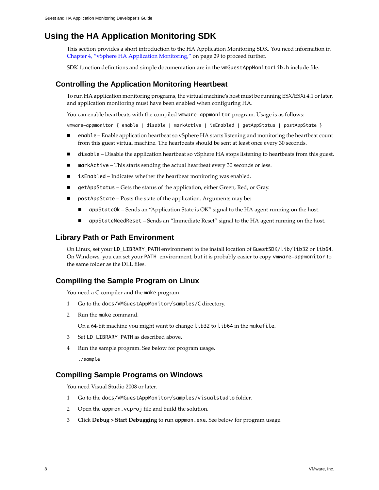#### <span id="page-7-0"></span>**Using the HA Application Monitoring SDK**

This section provides a short introduction to the HA Application Monitoring SDK. You need information in [Chapter 4, "vSphere HA Application Monitoring," on page 29](#page-28-3) to proceed further.

SDK function definitions and simple documentation are in the vmGuestAppMonitorLib.h include file.

#### <span id="page-7-1"></span>**Controlling the Application Monitoring Heartbeat**

To run HA application monitoring programs, the virtual machine's host must be running ESX/ESXi 4.1 or later, and application monitoring must have been enabled when configuring HA.

You can enable heartbeats with the compiled vmware-appmonitor program. Usage is as follows:

vmware-appmonitor { enable | disable | markActive | isEnabled | getAppStatus | postAppState }

- enable Enable application heartbeat so vSphere HA starts listening and monitoring the heartbeat count from this guest virtual machine. The heartbeats should be sent at least once every 30 seconds.
- disable Disable the application heartbeat so vSphere HA stops listening to heartbeats from this guest.
- markActive This starts sending the actual heartbeat every 30 seconds or less.
- isEnabled Indicates whether the heartbeat monitoring was enabled.
- getAppStatus Gets the status of the application, either Green, Red, or Gray.
- postAppState Posts the state of the application. Arguments may be:
	- appStateOk Sends an "Application State is OK" signal to the HA agent running on the host.
	- appStateNeedReset Sends an "Immediate Reset" signal to the HA agent running on the host.

#### <span id="page-7-2"></span>**Library Path or Path Environment**

On Linux, set your LD\_LIBRARY\_PATH environment to the install location of GuestSDK/lib/lib32 or lib64. On Windows, you can set your PATH environment, but it is probably easier to copy vmware-appmonitor to the same folder as the DLL files.

#### <span id="page-7-3"></span>**Compiling the Sample Program on Linux**

You need a C compiler and the make program.

- 1 Go to the docs/VMGuestAppMonitor/samples/C directory.
- 2 Run the make command.

On a 64-bit machine you might want to change lib32 to lib64 in the makefile.

- 3 Set LD\_LIBRARY\_PATH as described above.
- 4 Run the sample program. See below for program usage.

./sample

#### <span id="page-7-4"></span>**Compiling Sample Programs on Windows**

You need Visual Studio 2008 or later.

- 1 Go to the docs/VMGuestAppMonitor/samples/visualstudio folder.
- 2 Open the appmon.vcproj file and build the solution.
- 3 Click **Debug > Start Debugging** to run appmon.exe. See below for program usage.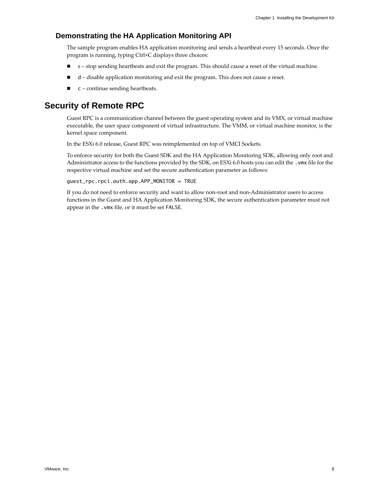#### <span id="page-8-0"></span>**Demonstrating the HA Application Monitoring API**

The sample program enables HA application monitoring and sends a heartbeat every 15 seconds. Once the program is running, typing Ctrl+C displays three choices:

- s stop sending heartbeats and exit the program. This should cause a reset of the virtual machine.
- d disable application monitoring and exit the program. This does not cause a reset.
- c continue sending heartbeats.

#### <span id="page-8-1"></span>**Security of Remote RPC**

Guest RPC is a communication channel between the guest operating system and its VMX, or virtual machine executable, the user space component of virtual infrastructure. The VMM, or virtual machine monitor, is the kernel space component.

<span id="page-8-2"></span>In the ESXi 6.0 release, Guest RPC was reimplemented on top of VMCI Sockets.

To enforce security for both the Guest SDK and the HA Application Monitoring SDK, allowing only root and Administrator access to the functions provided by the SDK, on ESXi 6.0 hosts you can edit the . vmx file for the respective virtual machine and set the secure authentication parameter as follows:

guest\_rpc.rpci.auth.app.APP\_MONITOR = TRUE

If you do not need to enforce security and want to allow non-root and non-Administrator users to access functions in the Guest and HA Application Monitoring SDK, the secure authentication parameter must not appear in the .vmx file, or it must be set FALSE.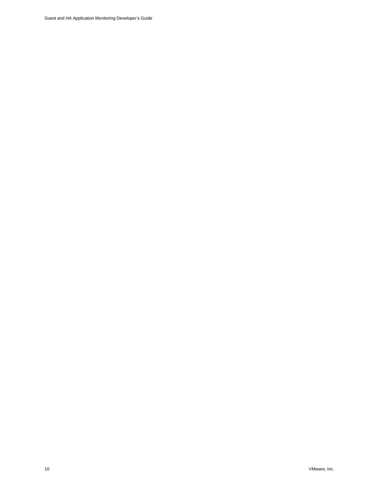Guest and HA Application Monitoring Developer's Guide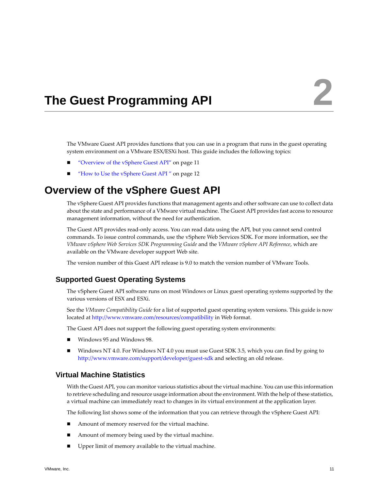# <span id="page-10-1"></span><span id="page-10-0"></span>**The Guest Programming API 22**

The VMware Guest API provides functions that you can use in a program that runs in the guest operating system environment on a VMware ESX/ESXi host. This guide includes the following topics:

- ["Overview of the vSphere Guest API" on page 11](#page-10-2)
- "How to Use the vSphere Guest API" on page 12

## <span id="page-10-6"></span><span id="page-10-2"></span>**Overview of the vSphere Guest API**

The vSphere Guest API provides functions that management agents and other software can use to collect data about the state and performance of a VMware virtual machine. The Guest API provides fast access to resource management information, without the need for authentication.

The Guest API provides read-only access. You can read data using the API, but you cannot send control commands. To issue control commands, use the vSphere Web Services SDK. For more information, see the *VMware vSphere Web Services SDK Programming Guide* and the *VMware vSphere API Reference*, which are available on the VMware developer support Web site.

The version number of this Guest API release is 9.0 to match the version number of VMware Tools.

#### <span id="page-10-7"></span><span id="page-10-3"></span>**Supported Guest Operating Systems**

<span id="page-10-9"></span><span id="page-10-5"></span>The vSphere Guest API software runs on most Windows or Linux guest operating systems supported by the various versions of ESX and ESXi.

See the *VMware Compatibility Guide* for a list of supported guest operating system versions. This guide is now located at [http://www.vmware.com/resources/compatibility](http://www.vmware.com/resources/compatibility/search.php?action=base&deviceCategory=software) in Web format.

The Guest API does not support the following guest operating system environments:

- Windows 95 and Windows 98.
- Windows NT 4.0. For Windows NT 4.0 you must use Guest SDK 3.5, which you can find by going to http://www.vmware.com/support/developer/guest-sdk and selecting an old release.

#### <span id="page-10-8"></span><span id="page-10-4"></span>**Virtual Machine Statistics**

With the Guest API, you can monitor various statistics about the virtual machine. You can use this information to retrieve scheduling and resource usage information about the environment. With the help of these statistics, a virtual machine can immediately react to changes in its virtual environment at the application layer.

The following list shows some of the information that you can retrieve through the vSphere Guest API:

- Amount of memory reserved for the virtual machine.
- Amount of memory being used by the virtual machine.
- Upper limit of memory available to the virtual machine.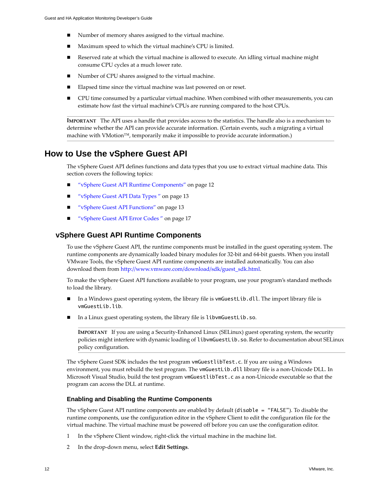- Number of memory shares assigned to the virtual machine.
- Maximum speed to which the virtual machine's CPU is limited.
- Reserved rate at which the virtual machine is allowed to execute. An idling virtual machine might consume CPU cycles at a much lower rate.
- Number of CPU shares assigned to the virtual machine.
- Elapsed time since the virtual machine was last powered on or reset.
- CPU time consumed by a particular virtual machine. When combined with other measurements, you can estimate how fast the virtual machine's CPUs are running compared to the host CPUs.

**IMPORTANT** The API uses a handle that provides access to the statistics. The handle also is a mechanism to determine whether the API can provide accurate information. (Certain events, such a migrating a virtual machine with VMotion™, temporarily make it impossible to provide accurate information.)

#### <span id="page-11-7"></span><span id="page-11-0"></span>**How to Use the vSphere Guest API**

The vSphere Guest API defines functions and data types that you use to extract virtual machine data. This section covers the following topics:

- **T** ["vSphere Guest API Runtime Components" on page 12](#page-11-1)
- ["vSphere Guest API Data Types " on page 13](#page-12-0)
- ["vSphere Guest API Functions" on page 13](#page-12-1)
- ["vSphere Guest API Error Codes " on page 17](#page-16-0)

#### <span id="page-11-10"></span><span id="page-11-1"></span>**vSphere Guest API Runtime Components**

<span id="page-11-4"></span><span id="page-11-3"></span>To use the vSphere Guest API, the runtime components must be installed in the guest operating system. The runtime components are dynamically loaded binary modules for 32-bit and 64-bit guests. When you install VMware Tools, the vSphere Guest API runtime components are installed automatically. You can also download them from [http://www.vmware.com/download/sdk/guest\\_sdk.html](http://www.vmware.com/download/sdk/guest_sdk.html).

To make the vSphere Guest API functions available to your program, use your program's standard methods to load the library.

- <span id="page-11-12"></span> In a Windows guest operating system, the library file is vmGuestLib.dll. The import library file is vmGuestLib.lib.
- In a Linux guest operating system, the library file is libvmGuestLib.so.

<span id="page-11-11"></span><span id="page-11-9"></span><span id="page-11-8"></span>**IMPORTANT** If you are using a Security-Enhanced Linux (SELinux) guest operating system, the security policies might interfere with dynamic loading of libvmGuestLib.so. Refer to documentation about SELinux policy configuration.

The vSphere Guest SDK includes the test program vmGuestlibTest.c. If you are using a Windows environment, you must rebuild the test program. The vmGuestLib.dll library file is a non-Unicode DLL. In Microsoft Visual Studio, build the test program vmGuestlibTest.c as a non-Unicode executable so that the program can access the DLL at runtime.

#### <span id="page-11-6"></span><span id="page-11-2"></span>**Enabling and Disabling the Runtime Components**

<span id="page-11-5"></span>The vSphere Guest API runtime components are enabled by default (disable = "FALSE"). To disable the runtime components, use the configuration editor in the vSphere Client to edit the configuration file for the virtual machine. The virtual machine must be powered off before you can use the configuration editor.

- 1 In the vSphere Client window, right-click the virtual machine in the machine list.
- 2 In the drop-down menu, select **Edit Settings**.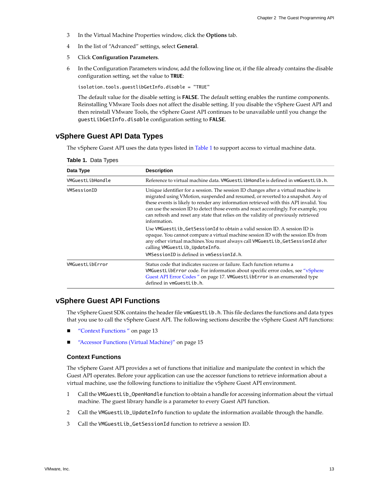- 3 In the Virtual Machine Properties window, click the **Options** tab.
- 4 In the list of "Advanced" settings, select **General**.
- 5 Click **Configuration Parameters**.
- 6 In the Configuration Parameters window, add the following line or, if the file already contains the disable configuration setting, set the value to **TRUE**:

isolation.tools.guestlibGetInfo.disable = "TRUE"

<span id="page-12-5"></span>The default value for the disable setting is **FALSE**. The default setting enables the runtime components. Reinstalling VMware Tools does not affect the disable setting. If you disable the vSphere Guest API and then reinstall VMware Tools, the vSphere Guest API continues to be unavailable until you change the guestLibGetInfo.disable configuration setting to **FALSE**.

#### <span id="page-12-0"></span>**vSphere Guest API Data Types**

The vSphere Guest API uses the data types listed in [Table 1](#page-12-3) to support access to virtual machine data.

<span id="page-12-7"></span><span id="page-12-6"></span>

| Data Type        | <b>Description</b>                                                                                                                                                                                                                                                                                                                                                                                                                                              |  |  |  |
|------------------|-----------------------------------------------------------------------------------------------------------------------------------------------------------------------------------------------------------------------------------------------------------------------------------------------------------------------------------------------------------------------------------------------------------------------------------------------------------------|--|--|--|
| VMGuestLibHandle | Reference to virtual machine data. VMGuestLibHandle is defined in vmGuestLib.h.                                                                                                                                                                                                                                                                                                                                                                                 |  |  |  |
| VMSessionID      | Unique identifier for a session. The session ID changes after a virtual machine is<br>migrated using VMotion, suspended and resumed, or reverted to a snapshot. Any of<br>these events is likely to render any information retrieved with this API invalid. You<br>can use the session ID to detect those events and react accordingly. For example, you<br>can refresh and reset any state that relies on the validity of previously retrieved<br>information. |  |  |  |
|                  | Use VMGuestLib GetSessionId to obtain a valid session ID. A session ID is<br>opaque. You cannot compare a virtual machine session ID with the session IDs from<br>any other virtual machines. You must always call VMGuestLib_GetSessionId after<br>calling VMGuestLib_UpdateInfo.                                                                                                                                                                              |  |  |  |
|                  | VMSessionID is defined in vmSessionId.h.                                                                                                                                                                                                                                                                                                                                                                                                                        |  |  |  |
| VMGuestLibError  | Status code that indicates success or failure. Each function returns a<br>VMGuestLibError code. For information about specific error codes, see "vSphere"<br>Guest API Error Codes" on page 17. VMGuestLibError is an enumerated type<br>defined in vmGuestLib.h.                                                                                                                                                                                               |  |  |  |

<span id="page-12-8"></span><span id="page-12-3"></span>**Table 1.** Data Types

#### <span id="page-12-9"></span><span id="page-12-1"></span>**vSphere Guest API Functions**

The vSphere Guest SDK contains the header file vmGuestLib.h. This file declares the functions and data types that you use to call the vSphere Guest API. The following sections describe the vSphere Guest API functions:

- ["Context Functions " on page 13](#page-12-2)
- ["Accessor Functions \(Virtual Machine\)" on page 15](#page-14-0)

#### <span id="page-12-4"></span><span id="page-12-2"></span>**Context Functions**

The vSphere Guest API provides a set of functions that initialize and manipulate the context in which the Guest API operates. Before your application can use the accessor functions to retrieve information about a virtual machine, use the following functions to initialize the vSphere Guest API environment.

- 1 Call the VMGuestLib\_OpenHandle function to obtain a handle for accessing information about the virtual machine. The guest library handle is a parameter to every Guest API function.
- 2 Call the VMGuestLib\_UpdateInfo function to update the information available through the handle.
- 3 Call the VMGuestLib\_GetSessionId function to retrieve a session ID.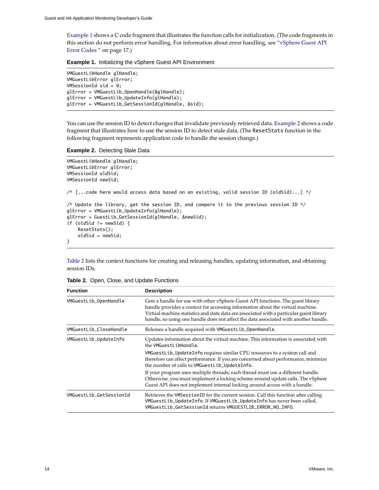[Example 1](#page-13-0) shows a C code fragment that illustrates the function calls for initialization. (The code fragments in this section do not perform error handling. For information about error handling, see "vSphere Guest API [Error Codes " on page 17.](#page-16-0))

<span id="page-13-0"></span>**Example 1.** Initializing the vSphere Guest API Environment

VMGuestLibHandle glHandle; VMGuestLibError glError; VMSessionId sid = 0; glError = VMGuestLib\_OpenHandle(&glHandle); glError = VMGuestLib\_UpdateInfo(glHandle); glError = VMGuestLib\_GetSessionId(glHandle, &sid);

You can use the session ID to detect changes that invalidate previously retrieved data. [Example 2](#page-13-1) shows a code fragment that illustrates how to use the session ID to detect stale data. (The ResetStats function in the following fragment represents application code to handle the session change.)

<span id="page-13-1"></span>**Example 2.** Detecting Stale Data

```
VMGuestLibHandle glHandle;
VMGuestLibError glError;
VMSessionId oldSid;
VMSessionId newSid;
/* [...code here would access data based on an existing, valid session ID (oldSid)...] */
/* Update the library, get the session ID, and compare it to the previous session ID */glError = VMGuestLib_UpdateInfo(glHandle);
glError = GuestLib_GetSessionId(glHandle, &newSid);
if (oldSid != newSid) {
    ResetStats();
     oldSid = newSid;
}
```
[Table 2](#page-13-2) lists the context functions for creating and releasing handles, updating information, and obtaining session IDs.

<span id="page-13-6"></span><span id="page-13-5"></span><span id="page-13-4"></span><span id="page-13-3"></span>

| <b>Function</b>         | <b>Description</b><br>Gets a handle for use with other vSphere Guest API functions. The guest library<br>handle provides a context for accessing information about the virtual machine.<br>Virtual machine statistics and state data are associated with a particular guest library<br>handle, so using one handle does not affect the data associated with another handle. |  |  |  |
|-------------------------|-----------------------------------------------------------------------------------------------------------------------------------------------------------------------------------------------------------------------------------------------------------------------------------------------------------------------------------------------------------------------------|--|--|--|
| VMGuestLib_OpenHandle   |                                                                                                                                                                                                                                                                                                                                                                             |  |  |  |
| VMGuestLib_CloseHandle  | Releases a handle acquired with VMGuestLib_OpenHandle.                                                                                                                                                                                                                                                                                                                      |  |  |  |
| VMGuestLib_UpdateInfo   | Updates information about the virtual machine. This information is associated with<br>the VMGuestLibHandle.                                                                                                                                                                                                                                                                 |  |  |  |
|                         | VMGuestLib_UpdateInfo requires similar CPU resources to a system call and<br>therefore can affect performance. If you are concerned about performance, minimize<br>the number of calls to VMGuestLib_UpdateInfo.                                                                                                                                                            |  |  |  |
|                         | If your program uses multiple threads, each thread must use a different handle.<br>Otherwise, you must implement a locking scheme around update calls. The vSphere<br>Guest API does not implement internal locking around access with a handle.                                                                                                                            |  |  |  |
| VMGuestLib GetSessionId | Retrieves the VMSessionID for the current session. Call this function after calling<br>VMGuestLib_UpdateInfo. If VMGuestLib_UpdateInfo has never been called,<br>VMGuestLib_GetSessionId returns VMGUESTLIB_ERROR_NO_INFO.                                                                                                                                                  |  |  |  |

<span id="page-13-2"></span>**Table 2.** Open, Close, and Update Functions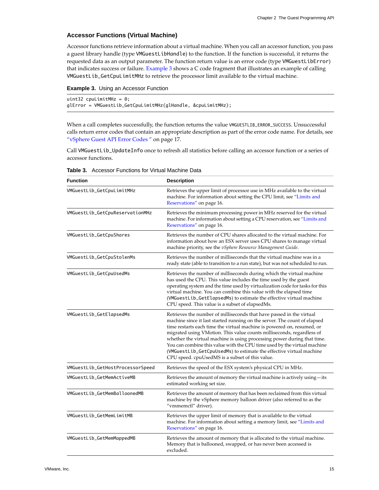#### <span id="page-14-3"></span><span id="page-14-0"></span>**Accessor Functions (Virtual Machine)**

<span id="page-14-4"></span>Accessor functions retrieve information about a virtual machine. When you call an accessor function, you pass a guest library handle (type VMGuestLibHandle) to the function. If the function is successful, it returns the requested data as an output parameter. The function return value is an error code (type VMGuestLibError) that indicates success or failure. [Example 3](#page-14-1) shows a C code fragment that illustrates an example of calling VMGuestLib\_GetCpuLimitMHz to retrieve the processor limit available to the virtual machine.

<span id="page-14-1"></span>

|  |  | <b>Example 3. Using an Accessor Function</b> |  |
|--|--|----------------------------------------------|--|
|--|--|----------------------------------------------|--|

uint32 cpuLimitMHz =  $0$ ; glError = VMGuestLib\_GetCpuLimitMHz(glHandle, &cpuLimitMHz);

When a call completes successfully, the function returns the value VMGUESTLIB\_ERROR\_SUCCESS. Unsuccessful calls return error codes that contain an appropriate description as part of the error code name. For details, see ["vSphere Guest API Error Codes " on page 17.](#page-16-0)

<span id="page-14-5"></span>Call VMGuestLib\_UpdateInfo once to refresh all statistics before calling an accessor function or a series of accessor functions.

<span id="page-14-16"></span><span id="page-14-15"></span><span id="page-14-14"></span><span id="page-14-13"></span><span id="page-14-12"></span><span id="page-14-11"></span><span id="page-14-10"></span><span id="page-14-9"></span><span id="page-14-8"></span><span id="page-14-7"></span><span id="page-14-6"></span>

| <b>Function</b>                  | <b>Description</b>                                                                                                                                                                                                                                                                                                                                                                                                                                                                                                                                                                    |  |  |  |  |
|----------------------------------|---------------------------------------------------------------------------------------------------------------------------------------------------------------------------------------------------------------------------------------------------------------------------------------------------------------------------------------------------------------------------------------------------------------------------------------------------------------------------------------------------------------------------------------------------------------------------------------|--|--|--|--|
| VMGuestLib_GetCpuLimitMHz        | Retrieves the upper limit of processor use in MHz available to the virtual<br>machine. For information about setting the CPU limit, see "Limits and<br>Reservations" on page 16.                                                                                                                                                                                                                                                                                                                                                                                                      |  |  |  |  |
| VMGuestLib_GetCpuReservationMHz  | Retrieves the minimum processing power in MHz reserved for the virtual<br>machine. For information about setting a CPU reservation, see "Limits and<br>Reservations" on page 16.                                                                                                                                                                                                                                                                                                                                                                                                      |  |  |  |  |
| VMGuestLib_GetCpuShares          | Retrieves the number of CPU shares allocated to the virtual machine. For<br>information about how an ESX server uses CPU shares to manage virtual<br>machine priority, see the <i>vSphere Resource Management Guide</i> .                                                                                                                                                                                                                                                                                                                                                             |  |  |  |  |
| VMGuestLib_GetCpuStolenMs        | Retrieves the number of milliseconds that the virtual machine was in a<br>ready state (able to transition to a run state), but was not scheduled to run.                                                                                                                                                                                                                                                                                                                                                                                                                              |  |  |  |  |
| VMGuestLib_GetCpuUsedMs          | Retrieves the number of milliseconds during which the virtual machine<br>has used the CPU. This value includes the time used by the guest<br>operating system and the time used by virtualization code for tasks for this<br>virtual machine. You can combine this value with the elapsed time<br>(VMGuestLib_GetElapsedMs) to estimate the effective virtual machine<br>CPU speed. This value is a subset of elapsedMs.                                                                                                                                                              |  |  |  |  |
| VMGuestLib_GetElapsedMs          | Retrieves the number of milliseconds that have passed in the virtual<br>machine since it last started running on the server. The count of elapsed<br>time restarts each time the virtual machine is powered on, resumed, or<br>migrated using VMotion. This value counts milliseconds, regardless of<br>whether the virtual machine is using processing power during that time.<br>You can combine this value with the CPU time used by the virtual machine<br>(VMGuestLib_GetCpuUsedMs) to estimate the effective virtual machine<br>CPU speed. cpuUsedMS is a subset of this value. |  |  |  |  |
| VMGuestLib_GetHostProcessorSpeed | Retrieves the speed of the ESX system's physical CPU in MHz.                                                                                                                                                                                                                                                                                                                                                                                                                                                                                                                          |  |  |  |  |
| VMGuestLib_GetMemActiveMB        | Retrieves the amount of memory the virtual machine is actively using-its<br>estimated working set size.                                                                                                                                                                                                                                                                                                                                                                                                                                                                               |  |  |  |  |
| VMGuestLib_GetMemBalloonedMB     | Retrieves the amount of memory that has been reclaimed from this virtual<br>machine by the vSphere memory balloon driver (also referred to as the<br>"vmmemctl" driver).                                                                                                                                                                                                                                                                                                                                                                                                              |  |  |  |  |
| VMGuestLib_GetMemLimitMB         | Retrieves the upper limit of memory that is available to the virtual<br>machine. For information about setting a memory limit, see "Limits and<br>Reservations" on page 16.                                                                                                                                                                                                                                                                                                                                                                                                           |  |  |  |  |
| VMGuestLib_GetMemMappedMB        | Retrieves the amount of memory that is allocated to the virtual machine.<br>Memory that is ballooned, swapped, or has never been accessed is<br>excluded.                                                                                                                                                                                                                                                                                                                                                                                                                             |  |  |  |  |

<span id="page-14-2"></span>**Table 3.** Accessor Functions for Virtual Machine Data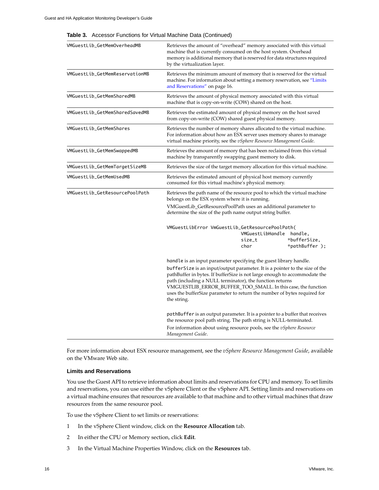<span id="page-15-8"></span><span id="page-15-7"></span><span id="page-15-6"></span><span id="page-15-5"></span><span id="page-15-4"></span><span id="page-15-3"></span><span id="page-15-2"></span><span id="page-15-1"></span>

| VMGuestLib_GetMemOverheadMB    | Retrieves the amount of "overhead" memory associated with this virtual<br>machine that is currently consumed on the host system. Overhead<br>memory is additional memory that is reserved for data structures required<br>by the virtualization layer.                                                                                                                                                                                                 |  |  |  |  |
|--------------------------------|--------------------------------------------------------------------------------------------------------------------------------------------------------------------------------------------------------------------------------------------------------------------------------------------------------------------------------------------------------------------------------------------------------------------------------------------------------|--|--|--|--|
| VMGuestLib_GetMemReservationMB | Retrieves the minimum amount of memory that is reserved for the virtual<br>machine. For information about setting a memory reservation, see "Limits"<br>and Reservations" on page 16.                                                                                                                                                                                                                                                                  |  |  |  |  |
| VMGuestLib_GetMemSharedMB      | Retrieves the amount of physical memory associated with this virtual<br>machine that is copy-on-write (COW) shared on the host.                                                                                                                                                                                                                                                                                                                        |  |  |  |  |
| VMGuestLib_GetMemSharedSavedMB | Retrieves the estimated amount of physical memory on the host saved<br>from copy-on-write (COW) shared guest physical memory.                                                                                                                                                                                                                                                                                                                          |  |  |  |  |
| VMGuestLib_GetMemShares        | Retrieves the number of memory shares allocated to the virtual machine.<br>For information about how an ESX server uses memory shares to manage<br>virtual machine priority, see the vSphere Resource Management Guide.                                                                                                                                                                                                                                |  |  |  |  |
| VMGuestLib_GetMemSwappedMB     | Retrieves the amount of memory that has been reclaimed from this virtual<br>machine by transparently swapping guest memory to disk.                                                                                                                                                                                                                                                                                                                    |  |  |  |  |
| VMGuestLib_GetMemTargetSizeMB  | Retrieves the size of the target memory allocation for this virtual machine.                                                                                                                                                                                                                                                                                                                                                                           |  |  |  |  |
| VMGuestLib_GetMemUsedMB        | Retrieves the estimated amount of physical host memory currently<br>consumed for this virtual machine's physical memory.                                                                                                                                                                                                                                                                                                                               |  |  |  |  |
| VMGuestLib_GetResourcePoolPath | Retrieves the path name of the resource pool to which the virtual machine<br>belongs on the ESX system where it is running.                                                                                                                                                                                                                                                                                                                            |  |  |  |  |
|                                | VMGuestLib_GetResourcePoolPath uses an additional parameter to<br>determine the size of the path name output string buffer.                                                                                                                                                                                                                                                                                                                            |  |  |  |  |
|                                | VMGuestLibError VmGuestLib_GetResourcePoolPath(<br>VMGuestLibHandle handle,<br>*bufferSize,<br>size_t<br>*pathBuffer );<br>char                                                                                                                                                                                                                                                                                                                        |  |  |  |  |
|                                | handle is an input parameter specifying the guest library handle.<br>bufferSize is an input/output parameter. It is a pointer to the size of the<br>pathBuffer in bytes. If bufferSize is not large enough to accommodate the<br>path (including a NULL terminator), the function returns<br>VMGUESTLIB_ERROR_BUFFER_TOO_SMALL. In this case, the function<br>uses the buffer Size parameter to return the number of bytes required for<br>the string. |  |  |  |  |
|                                | pathBuffer is an output parameter. It is a pointer to a buffer that receives<br>the resource pool path string. The path string is NULL-terminated.<br>For information about using resource pools, see the $vSphere$ Resource<br>Management Guide.                                                                                                                                                                                                      |  |  |  |  |

**Table 3.** Accessor Functions for Virtual Machine Data (Continued)

For more information about ESX resource management, see the *vSphere Resource Management Guide*, available on the VMware Web site.

#### <span id="page-15-0"></span>**Limits and Reservations**

You use the Guest API to retrieve information about limits and reservations for CPU and memory. To set limits and reservations, you can use either the vSphere Client or the vSphere API. Setting limits and reservations on a virtual machine ensures that resources are available to that machine and to other virtual machines that draw resources from the same resource pool.

To use the vSphere Client to set limits or reservations:

- 1 In the vSphere Client window, click on the **Resource Allocation** tab.
- 2 In either the CPU or Memory section, click **Edit**.
- 3 In the Virtual Machine Properties Window, click on the **Resources** tab.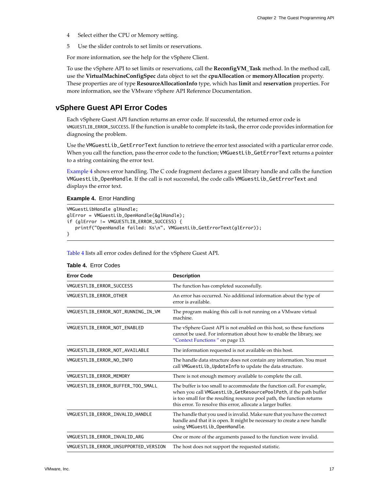- 4 Select either the CPU or Memory setting.
- 5 Use the slider controls to set limits or reservations.

For more information, see the help for the vSphere Client.

To use the vSphere API to set limits or reservations, call the **ReconfigVM\_Task** method. In the method call, use the **VirtualMachineConfigSpec** data object to set the **cpuAllocation** or **memoryAllocation** property. These properties are of type **ResourceAllocationInfo** type, which has **limit** and **reservation** properties. For more information, see the VMware vSphere API Reference Documentation.

#### <span id="page-16-0"></span>**vSphere Guest API Error Codes**

Each vSphere Guest API function returns an error code. If successful, the returned error code is VMGUESTLIB\_ERROR\_SUCCESS. If the function is unable to complete its task, the error code provides information for diagnosing the problem.

Use the VMGuestLib\_GetErrorText function to retrieve the error text associated with a particular error code. When you call the function, pass the error code to the function; VMGuestLib\_GetErrorText returns a pointer to a string containing the error text.

[Example 4](#page-16-1) shows error handling. The C code fragment declares a guest library handle and calls the function VMGuestLib\_OpenHandle. If the call is not successful, the code calls VMGuestLib\_GetErrorText and displays the error text.

<span id="page-16-1"></span>**Example 4.** Error Handling

```
VMGuestLibHandle glHandle;
glError = VMGuestLib_OpenHandle(&glHandle);
if (glError != VMGUESTLIB_ERROR_SUCCESS) {
    printf("OpenHandle failed: %s\n", VMGuestLib_GetErrorText(glError));
}
```
[Table 4](#page-16-2) lists all error codes defined for the vSphere Guest API.

<span id="page-16-2"></span>**Table 4.** Error Codes

| <b>Error Code</b>                    | <b>Description</b>                                                                                                                                                                                                                                                                    |  |  |  |
|--------------------------------------|---------------------------------------------------------------------------------------------------------------------------------------------------------------------------------------------------------------------------------------------------------------------------------------|--|--|--|
| VMGUESTLIB_ERROR_SUCCESS             | The function has completed successfully.                                                                                                                                                                                                                                              |  |  |  |
| VMGUESTLIB_ERROR_OTHER               | An error has occurred. No additional information about the type of<br>error is available.                                                                                                                                                                                             |  |  |  |
| VMGUESTLIB_ERROR_NOT_RUNNING_IN_VM   | The program making this call is not running on a VMware virtual<br>machine.                                                                                                                                                                                                           |  |  |  |
| VMGUESTLIB_ERROR_NOT_ENABLED         | The vSphere Guest API is not enabled on this host, so these functions<br>cannot be used. For information about how to enable the library, see<br>"Context Functions" on page 13.                                                                                                      |  |  |  |
| VMGUESTLIB_ERROR_NOT_AVAILABLE       | The information requested is not available on this host.                                                                                                                                                                                                                              |  |  |  |
| VMGUESTLIB_ERROR_NO_INFO             | The handle data structure does not contain any information. You must<br>call VMGuestLib_UpdateInfo to update the data structure.                                                                                                                                                      |  |  |  |
| VMGUESTLIB_ERROR_MEMORY              | There is not enough memory available to complete the call.                                                                                                                                                                                                                            |  |  |  |
| VMGUESTLIB_ERROR_BUFFER_TOO_SMALL    | The buffer is too small to accommodate the function call. For example,<br>when you call VMGuestLib_GetResourcePoolPath, if the path buffer<br>is too small for the resulting resource pool path, the function returns<br>this error. To resolve this error, allocate a larger buffer. |  |  |  |
| VMGUESTLIB_ERROR_INVALID_HANDLE      | The handle that you used is invalid. Make sure that you have the correct<br>handle and that it is open. It might be necessary to create a new handle<br>using VMGuestLib_OpenHandle.                                                                                                  |  |  |  |
| VMGUESTLIB_ERROR_INVALID_ARG         | One or more of the arguments passed to the function were invalid.                                                                                                                                                                                                                     |  |  |  |
| VMGUESTLIB_ERROR_UNSUPPORTED_VERSION | The host does not support the requested statistic.                                                                                                                                                                                                                                    |  |  |  |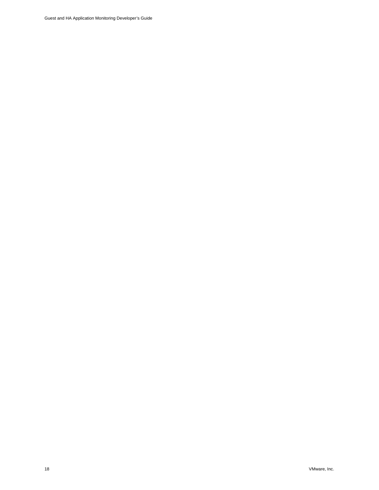Guest and HA Application Monitoring Developer's Guide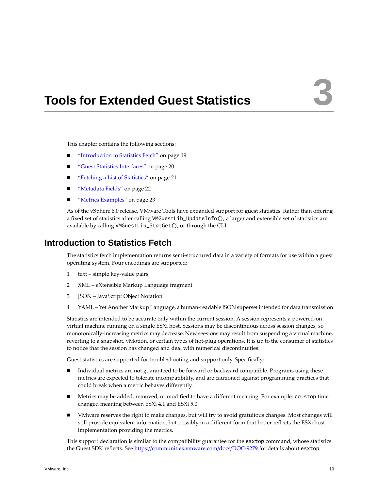# <span id="page-18-1"></span><span id="page-18-0"></span>**Tools for Extended Guest Statistics 3**

This chapter contains the following sections:

- ["Introduction to Statistics Fetch" on page 19](#page-18-2)
- ["Guest Statistics Interfaces" on page 20](#page-19-1)
- ["Fetching a List of Statistics" on page 21](#page-20-2)
- ["Metadata Fields" on page 22](#page-21-0)
- ["Metrics Examples" on page 23](#page-22-0)

As of the vSphere 6.0 release, VMware Tools have expanded support for guest statistics. Rather than offering a fixed set of statistics after calling VMGuestLib\_UpdateInfo(), a larger and extensible set of statistics are available by calling VMGuestLib\_StatGet(), or through the CLI.

#### <span id="page-18-2"></span>**Introduction to Statistics Fetch**

The statistics fetch implementation returns semi-structured data in a variety of formats for use within a guest operating system. Four encodings are supported:

- 1 text simple key-value pairs
- 2 XML eXtensible Markup Language fragment
- 3 JSON JavaScript Object Notation
- 4 YAML Yet Another Markup Language, a human-readable JSON superset intended for data transmission

Statistics are intended to be accurate only within the current session. A session represents a powered-on virtual machine running on a single ESXi host. Sessions may be discontinuous across session changes, so monotonically-increasing metrics may decrease. New seesions may result from suspending a virtual machine, reverting to a snapshot, vMotion, or certain types of hot-plug operations. It is up to the consumer of statistics to notice that the session has changed and deal with numerical discontinuities.

Guest statistics are supported for troubleshooting and support only. Specifically:

- Individual metrics are not guaranteed to be forward or backward compatible. Programs using these metrics are expected to tolerate incompatibility, and are cautioned against programming practices that could break when a metric behaves differently.
- Metrics may be added, removed, or modified to have a different meaning. For example: co-stop time changed meaning between ESXi 4.1 and ESXi 5.0.
- VMware reserves the right to make changes, but will try to avoid gratuitous changes. Most changes will still provide equivalent information, but possibly in a different form that better reflects the ESXi host implementation providing the metrics.

This support declaration is similar to the compatibility guarantee for the esxtop command, whose statistics the Guest SDK reflects. See https://communities.vmware.com/docs/DOC-9279 for details about esxtop.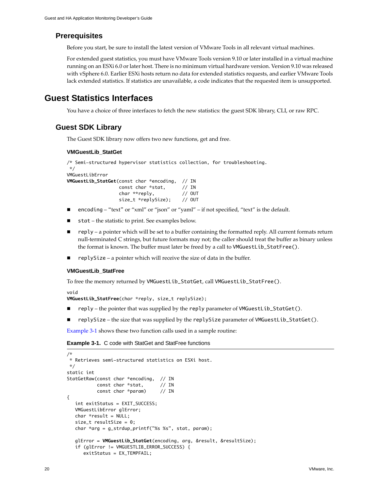#### <span id="page-19-0"></span>**Prerequisites**

Before you start, be sure to install the latest version of VMware Tools in all relevant virtual machines.

For extended guest statistics, you must have VMware Tools version 9.10 or later installed in a virtual machine running on an ESXi 6.0 or later host. There is no minimum virtual hardware version. Version 9.10 was released with vSphere 6.0. Earlier ESXi hosts return no data for extended statistics requests, and earlier VMware Tools lack extended statistics. If statistics are unavailable, a code indicates that the requested item is unsupported.

#### <span id="page-19-1"></span>**Guest Statistics Interfaces**

You have a choice of three interfaces to fetch the new statistics: the guest SDK library, CLI, or raw RPC.

#### <span id="page-19-2"></span>**Guest SDK Library**

The Guest SDK library now offers two new functions, get and free.

#### **VMGuestLib\_StatGet**

```
/* Semi-structured hypervisor statistics collection, for troubleshooting.
 */
VMGuestLibError
VMGuestLib_StatGet(const char *encoding, // IN
                    const char *stat, // IN<br>char **reply, // OUT
                    char **reply,
                     size_t *replySize); // OUT
```
- encoding "text" or "xml" or "json" or "yaml" if not specified, "text" is the default.
- stat the statistic to print. See examples below.
- reply a pointer which will be set to a buffer containing the formatted reply. All current formats return null-terminated C strings, but future formats may not; the caller should treat the buffer as binary unless the format is known. The buffer must later be freed by a call to VMGuestLib\_StatFree().
- replySize a pointer which will receive the size of data in the buffer.

#### **VMGuestLib\_StatFree**

To free the memory returned by VMGuestLib\_StatGet, call VMGuestLib\_StatFree().

void

**VMGuestLib\_StatFree**(char \*reply, size\_t replySize);

- reply the pointer that was supplied by the reply parameter of VMGuestLib\_StatGet().
- replySize the size that was supplied by the replySize parameter of VMGuestLib\_StatGet().

[Example 3-1](#page-19-3) shows these two function calls used in a sample routine:

#### <span id="page-19-3"></span>**Example 3-1.** C code with StatGet and StatFree functions

```
/*
 * Retrieves semi-structured statistics on ESXi host.
 */
static int
StatGetRaw(const char *encoding, // IN<br>const char *stat, // IN
            const char *stat, // IN<br>const char *param) // IN
            const char *param)
{
    int exitStatus = EXIT_SUCCESS;
    VMGuestLibError glError;
    char *result = NULL;
    size_t resultSize = 0;
    char *arg = g_strdup_printf("%s %s", stat, param);
    glError = VMGuestLib_StatGet(encoding, arg, &result, &resultSize);
    if (glError != VMGUESTLIB_ERROR_SUCCESS) {
       exitStatus = EX_TEMPFAIL;
```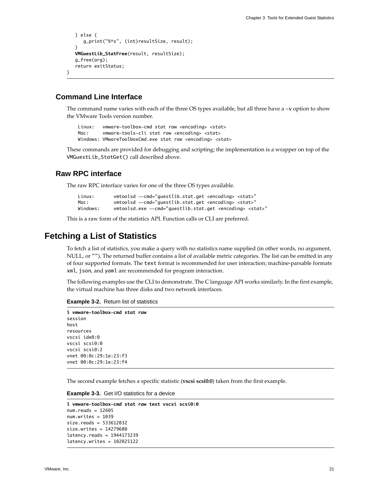```
 } else {
      g_print("%*s", (int)resultSize, result);
 }
   VMGuestLib_StatFree(result, resultSize);
   g_free(arg);
    return exitStatus;
```
#### <span id="page-20-0"></span>**Command Line Interface**

}

The command name varies with each of the three OS types available, but all three have a -v option to show the VMware Tools version number.

Linux: vmware-toolbox-cmd stat raw <encoding> <stat> Mac: vmware-tools-cli stat raw <encoding> <stat> Windows: VMwareToolboxCmd.exe stat raw <encoding> <stat>

These commands are provided for debugging and scripting; the implementation is a wrapper on top of the VMGuestLib\_StatGet() call described above.

#### <span id="page-20-1"></span>**Raw RPC interface**

The raw RPC interface varies for one of the three OS types available.

| Linux:   | vmtoolsd --cmd="auestlib.stat.aet <encodina> <stat>"</stat></encodina>     |
|----------|----------------------------------------------------------------------------|
| Mac:     | vmtoolsd --cmd="auestlib.stat.aet <encodina> <stat>"</stat></encodina>     |
| Windows: | vmtoolsd.exe --cmd="questlib.stat.get <encoding> <stat>"</stat></encoding> |

This is a raw form of the statistics API. Function calls or CLI are preferred.

#### <span id="page-20-2"></span>**Fetching a List of Statistics**

To fetch a list of statistics, you make a query with no statistics name supplied (in other words, no argument, NULL, or ""). The returned buffer contains a list of available metric categories. The list can be emitted in any of four supported formats. The text format is recommended for user interaction; machine-parsable formats xml, json, and yaml are recommended for program interaction.

The following examples use the CLI to demonstrate. The C language API works similarly. In the first example, the virtual machine has three disks and two network interfaces.

**Example 3-2.** Return list of statistics

```
$ vmware-toolbox-cmd stat raw
session 
host 
resources 
vscsi ide0:0
vscsi scsi0:0
vscsi scsi0:2
vnet 00:0c:29:1e:23:f3
vnet 00:0c:29:1e:23:f4
```
The second example fetches a specific statistic (**vscsi scsi0:0**) taken from the first example.

**Example 3-3.** Get I/O statistics for a device

```
$ vmware-toolbox-cmd stat raw text vscsi scsi0:0
num.reads = 12605num.writes = 1039
size.reads = 533612032
size.writes = 14279680
latency.reads = 1944173239
latency.writes = 102025122
```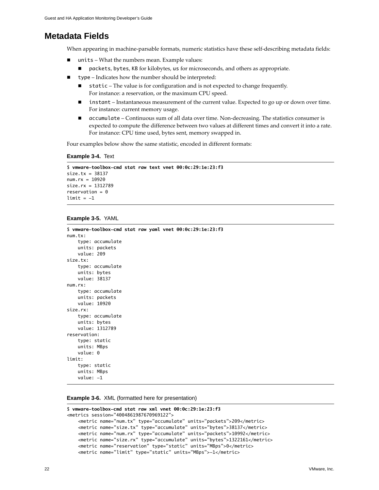#### <span id="page-21-0"></span>**Metadata Fields**

When appearing in machine-parsable formats, numeric statistics have these self-describing metadata fields:

- units What the numbers mean. Example values:
	- packets, bytes, KB for kilobytes, us for microseconds, and others as appropriate.
- type Indicates how the number should be interpreted:
	- static The value is for configuration and is not expected to change frequently. For instance: a reservation, or the maximum CPU speed.
	- instant Instantaneous measurement of the current value. Expected to go up or down over time. For instance: current memory usage.
	- accumulate Continuous sum of all data over time. Non-decreasing. The statistics consumer is expected to compute the difference between two values at different times and convert it into a rate. For instance: CPU time used, bytes sent, memory swapped in.

Four examples below show the same statistic, encoded in different formats:

```
Example 3-4. Text
```

```
$ vmware-toolbox-cmd stat raw text vnet 00:0c:29:1e:23:f3
size.txt = 38137num.rx = 10920size.rx = 1312789
reservation = 0limit = -1
```
#### **Example 3-5.** YAML

| \$ vmware-toolbox-cmd stat raw yaml vnet 00:0c:29:1e:23:f3 |  |  |  |
|------------------------------------------------------------|--|--|--|
| num.txt:                                                   |  |  |  |
| type: accumulate                                           |  |  |  |
| units: packets                                             |  |  |  |
| value: 209                                                 |  |  |  |
| size.tx:                                                   |  |  |  |
| type: accumulate                                           |  |  |  |
| units: bytes                                               |  |  |  |
| value: 38137                                               |  |  |  |
| num.rx:                                                    |  |  |  |
| type: accumulate                                           |  |  |  |
| units: packets                                             |  |  |  |
| value: 10920                                               |  |  |  |
| size.rx:                                                   |  |  |  |
| type: accumulate                                           |  |  |  |
| units: bytes                                               |  |  |  |
| value: 1312789                                             |  |  |  |
| reservation:                                               |  |  |  |
| type: static                                               |  |  |  |
| units: MBps                                                |  |  |  |
| value: 0                                                   |  |  |  |
| limit:                                                     |  |  |  |
| type: static                                               |  |  |  |
| units: MBps                                                |  |  |  |
| $value: -1$                                                |  |  |  |

**Example 3-6.** XML (formatted here for presentation)

```
$ vmware-toolbox-cmd stat raw xml vnet 00:0c:29:1e:23:f3
<metrics session="4004861987670969122">
    <metric name="num.tx" type="accumulate" units="packets">209</metric>
    <metric name="size.tx" type="accumulate" units="bytes">38137</metric>
   <metric name="num.rx" type="accumulate" units="packets">10992</metric>
   <metric name="size.rx" type="accumulate" units="bytes">1322161</metric>
   <metric name="reservation" type="static" units="MBps">0</metric>
    <metric name="limit" type="static" units="MBps">-1</metric>
```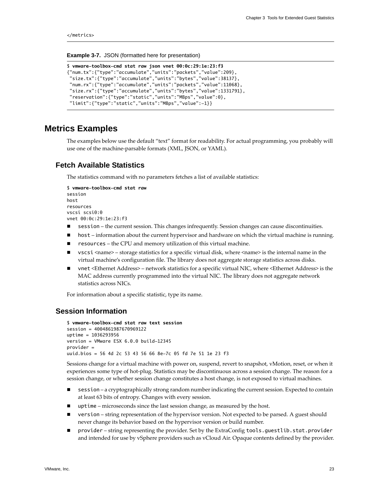|  | <b>Example 3-7.</b> JSON (formatted here for presentation) |  |
|--|------------------------------------------------------------|--|
|--|------------------------------------------------------------|--|

```
$ vmware-toolbox-cmd stat raw json vnet 00:0c:29:1e:23:f3
{"num.tx":{"type":"accumulate","units":"packets","value":209},
 "size.tx":{"type":"accumulate","units":"bytes","value":38137},
 "num.rx":{"type":"accumulate","units":"packets","value":11068},
 "size.rx":{"type":"accumulate","units":"bytes","value":1331791},
 "reservation":{"type":"static","units":"MBps","value":0},
"limit":{"type":"static","units":"MBps","value":-1}}
```
#### <span id="page-22-0"></span>**Metrics Examples**

The examples below use the default "text" format for readability. For actual programming, you probably will use one of the machine-parsable formats (XML, JSON, or YAML).

#### <span id="page-22-1"></span>**Fetch Available Statistics**

The statistics command with no parameters fetches a list of available statistics:

```
$ vmware-toolbox-cmd stat raw
session
host
resources
vscsi scsi0:0
vnet 00:0c:29:1e:23:f3
```
- session the current session. This changes infrequently. Session changes can cause discontinuities.
- host information about the current hypervisor and hardware on which the virtual machine is running.
- resources the CPU and memory utilization of this virtual machine.
- **vscsi** <name> storage statistics for a specific virtual disk, where <name> is the internal name in the virtual machine's configuration file. The library does not aggregate storage statistics across disks.
- vnet <Ethernet Address> network statistics for a specific virtual NIC, where <Ethernet Address> is the MAC address currently programmed into the virtual NIC. The library does not aggregate network statistics across NICs.

For information about a specific statistic, type its name.

#### <span id="page-22-2"></span>**Session Information**

```
$ vmware-toolbox-cmd stat raw text session
session = 4004861987670969122
uptime = 1036293956version = VMware ESX 6.0.0 build-12345
provider =
uuid.bios = 56 4d 2c 53 43 56 66 8e-7c 05 fd 7e 51 1e 23 f3
```
Sessions change for a virtual machine with power on, suspend, revert to snapshot, vMotion, reset, or when it experiences some type of hot-plug. Statistics may be discontinuous across a session change. The reason for a session change, or whether session change constitutes a host change, is not exposed to virtual machines.

- session a cryptographically strong random number indicating the current session. Expected to contain at least 63 bits of entropy. Changes with every session.
- uptime microseconds since the last session change, as measured by the host.
- version string representation of the hypervisor version. Not expected to be parsed. A guest should never change its behavior based on the hypervisor version or build number.
- provider string representing the provider. Set by the ExtraConfig tools.guestlib.stat.provider and intended for use by vSphere providers such as vCloud Air. Opaque contents defined by the provider.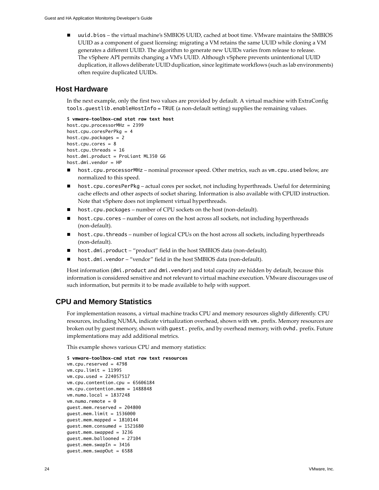uuid.bios – the virtual machine's SMBIOS UUID, cached at boot time. VMware maintains the SMBIOS UUID as a component of guest licensing: migrating a VM retains the same UUID while cloning a VM generates a different UUID. The algorithm to generate new UUIDs varies from release to release. The vSphere API permits changing a VM's UUID. Although vSphere prevents unintentional UUID duplication, it allows deliberate UUID duplication, since legitimate workflows (such as lab environments) often require duplicated UUIDs.

#### <span id="page-23-0"></span>**Host Hardware**

In the next example, only the first two values are provided by default. A virtual machine with ExtraConfig tools.guestlib.enableHostInfo = TRUE (a non-default setting) supplies the remaining values.

```
$ vmware-toolbox-cmd stat raw text host
```

```
host.cpu.processorMHz = 2399
host.cpu.coresPerPkg = 4
host.cpu.packages = 2host.cpu.cores = 8host.cpu.threads = 16
host.dmi.product = ProLiant ML350 G6
host.dmi.vendor = HP
```
- host.cpu.processorMHz nominal processor speed. Other metrics, such as vm.cpu.used below, are normalized to this speed.
- host.cpu.coresPerPkg actual cores per socket, not including hyperthreads. Useful for determining cache effects and other aspects of socket sharing. Information is also available with CPUID instruction. Note that vSphere does not implement virtual hyperthreads.
- host.cpu.packages number of CPU sockets on the host (non-default).
- host.cpu.cores number of cores on the host across all sockets, not including hyperthreads (non-default).
- host.cpu.threads number of logical CPUs on the host across all sockets, including hyperthreads (non-default).
- host.dmi.product "product" field in the host SMBIOS data (non-default).
- host.dmi.vendor "vendor" field in the host SMBIOS data (non-default).

Host information (dmi.product and dmi.vendor) and total capacity are hidden by default, because this information is considered sensitive and not relevant to virtual machine execution. VMware discourages use of such information, but permits it to be made available to help with support.

#### <span id="page-23-1"></span>**CPU and Memory Statistics**

For implementation reasons, a virtual machine tracks CPU and memory resources slightly differently. CPU resources, including NUMA, indicate virtualization overhead, shown with vm. prefix. Memory resources are broken out by guest memory, shown with guest. prefix, and by overhead memory, with ovhd. prefix. Future implementations may add additional metrics.

This example shows various CPU and memory statistics:

```
$ vmware-toolbox-cmd stat raw text resources
vm.cpu.reserved = 4798
vm.cpu.limit = 11995
vm.cpu.used = 224057517
vm.cpu.contention.cpu = 65606184
vm.cpu.contention.mem = 1488848
vm.numa.local = 1837248
vm. numa.remote = 0guest.mem.reserved = 204800
quest.mem.limit = 1536000
guest.mem.mapped = 1810144
guest.mem.consumed = 1521680
guest.mem.swapped = 3236
guest.mem.ballooned = 27104
quest.mem.swapIn = 3416
guest.mem.swapOut = 6588
```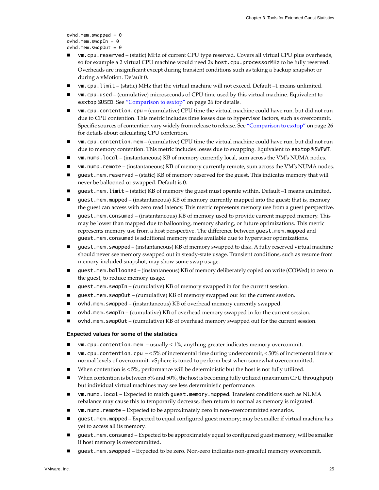ovhd.mem.swapped =  $0$ ovhd.mem.swapIn =  $0$ ovhd.mem.swapOut =  $0$ 

- vm.cpu.reserved (static) MHz of current CPU type reserved. Covers all virtual CPU plus overheads, so for example a 2 virtual CPU machine would need 2x host.cpu.processorMHz to be fully reserved. Overheads are insignificant except during transient conditions such as taking a backup snapshot or during a vMotion. Default 0.
- vm.cpu.limit (static) MHz that the virtual machine will not exceed. Default –1 means unlimited.
- vm.cpu.used (cumulative) microseconds of CPU time used by this virtual machine. Equivalent to esxtop %USED. See ["Comparison to esxtop" on page 26](#page-25-0) for details.
- vm.cpu.contention.cpu = (cumulative) CPU time the virtual machine could have run, but did not run due to CPU contention. This metric includes time losses due to hypervisor factors, such as overcommit. Specific sources of contention vary widely from release to release. See ["Comparison to esxtop" on page 26](#page-25-0) for details about calculating CPU contention.
- vm.cpu.contention.mem (cumulative) CPU time the virtual machine could have run, but did not run due to memory contention. This metric includes losses due to swapping. Equivalent to esxtop %SWPWT.
- vm.numa.local (instantaneous) KB of memory currently local, sum across the VM's NUMA nodes.
- vm.numa.remote (instantaneous) KB of memory currently remote, sum across the VM's NUMA nodes.
- guest.mem.reserved (static) KB of memory reserved for the guest. This indicates memory that will never be ballooned or swapped. Default is 0.
- guest.mem.limit (static) KB of memory the guest must operate within. Default –1 means unlimited.
- guest.mem.mapped (instantaneous) KB of memory currently mapped into the guest; that is, memory the guest can access with zero read latency. This metric represents memory use from a guest perspective.
- guest.mem.consumed (instantaneous) KB of memory used to provide current mapped memory. This may be lower than mapped due to ballooning, memory sharing, or future optimizations. This metric represents memory use from a host perspective. The difference between guest.mem.mapped and guest.mem.consumed is additional memory made available due to hypervisor optimizations.
- guest.mem.swapped (instantaneous) KB of memory swapped to disk. A fully reserved virtual machine should never see memory swapped out in steady-state usage. Transient conditions, such as resume from memory-included snapshot, may show some swap usage.
- guest.mem.ballooned (instantaneous) KB of memory deliberately copied on write (COWed) to zero in the guest, to reduce memory usage.
- guest.mem.swapIn (cumulative) KB of memory swapped in for the current session.
- guest.mem.swapOut (cumulative) KB of memory swapped out for the current session.
- ovhd.mem.swapped (instantaneous) KB of overhead memory currently swapped.
- ovhd.mem.swapIn (cumulative) KB of overhead memory swapped in for the current session.
- ovhd.mem.swapOut (cumulative) KB of overhead memory swapped out for the current session.

#### **Expected values for some of the statistics**

- vm.cpu.contention.mem usually < 1%, anything greater indicates memory overcommit.
- vm.cpu.contention.cpu < 5% of incremental time during undercommit, < 50% of incremental time at normal levels of overcommit. vSphere is tuned to perform best when somewhat overcommitted.
- When contention is < 5%, performance will be deterministic but the host is not fully utilized.
- When contention is between 5% and 50%, the host is becoming fully utilized (maximum CPU throughput) but individual virtual machines may see less deterministic performance.
- vm.numa.local Expected to match guest.memory.mapped. Transient conditions such as NUMA rebalance may cause this to temporarily decrease, then return to normal as memory is migrated.
- vm.numa.remote Expected to be approximately zero in non-overcommitted scenarios.
- guest.mem.mapped Expected to equal configured guest memory; may be smaller if virtual machine has yet to access all its memory.
- guest.mem.consumed Expected to be approximately equal to configured guest memory; will be smaller if host memory is overcommitted.
- guest.mem.swapped Expected to be zero. Non-zero indicates non-graceful memory overcommit.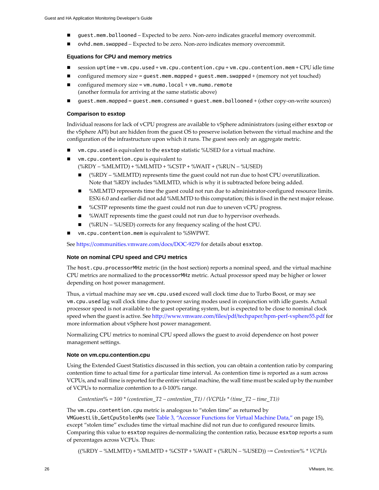- quest.mem.ballooned Expected to be zero. Non-zero indicates graceful memory overcommit.
- ovhd.mem.swapped Expected to be zero. Non-zero indicates memory overcommit.

#### **Equations for CPU and memory metrics**

- session uptime = vm.cpu.used + vm.cpu.contention.cpu + vm.cpu.contention.mem + CPU idle time
- configured memory size =  $quest$  mem.mapped +  $quest$  mem.swapped +  $(memory not yet touched)$
- configured memory size = vm.numa.local + vm.numa.remote (another formula for arriving at the same statistic above)
- guest.mem.mapped = guest.mem.consumed + guest.mem.ballooned + (other copy-on-write sources)

#### <span id="page-25-0"></span>**Comparison to esxtop**

Individual reasons for lack of vCPU progress are available to vSphere administrators (using either esxtop or the vSphere API) but are hidden from the guest OS to preserve isolation between the virtual machine and the configuration of the infrastructure upon which it runs. The guest sees only an aggregate metric.

- vm.cpu.used is equivalent to the esxtop statistic %USED for a virtual machine.
- vm.cpu.contention.cpu is equivalent to

(%RDY – %MLMTD) + %MLMTD + %CSTP + %WAIT + (%RUN – %USED)

- $\blacksquare$  (%RDY %MLMTD) represents time the guest could not run due to host CPU overutilization. Note that %RDY includes %MLMTD, which is why it is subtracted before being added.
- %MLMTD represents time the guest could not run due to administrator-configured resource limits. ESXi 6.0 and earlier did not add %MLMTD to this computation; this is fixed in the next major release.
- %CSTP represents time the guest could not run due to uneven vCPU progress.
- %WAIT represents time the guest could not run due to hypervisor overheads.
- (%RUN %USED) corrects for any frequency scaling of the host CPU.
- vm.cpu.contention.mem is equivalent to %SWPWT.

See https://communities.vmware.com/docs/DOC-9279 for details about esxtop.

#### **Note on nominal CPU speed and CPU metrics**

The host.cpu.processorMHz metric (in the host section) reports a nominal speed, and the virtual machine CPU metrics are normalized to the processorMHz metric. Actual processor speed may be higher or lower depending on host power management.

Thus, a virtual machine may see vm.cpu.used exceed wall clock time due to Turbo Boost, or may see vm.cpu.used lag wall clock time due to power saving modes used in conjunction with idle guests. Actual processor speed is not available to the guest operating system, but is expected to be close to nominal clock speed when the guest is active. See http://www.vmware.com/files/pdf/techpaper/hpm-perf-vsphere55.pdf for more information about vSphere host power management.

Normalizing CPU metrics to nominal CPU speed allows the guest to avoid dependence on host power management settings.

#### **Note on vm.cpu.contention.cpu**

Using the Extended Guest Statistics discussed in this section, you can obtain a contention ratio by comparing contention time to actual time for a particular time interval. As contention time is reported as a sum across VCPUs, and wall time is reported for the entire virtual machine, the wall time must be scaled up by the number of VCPUs to normalize contention to a 0-100% range.

*Contention% = 100 \* (contention\_T2 – contention\_T1) / (VCPUs \* (time\_T2 – time\_T1))*

The vm.cpu.contention.cpu metric is analogous to "stolen time" as returned by VMGuestLib\_GetCpuStolenMs (see [Table 3, "Accessor Functions for Virtual Machine Data," on page 15](#page-14-2)), except "stolen time" excludes time the virtual machine did not run due to configured resource limits. Comparing this value to esxtop requires de-normalizing the contention ratio, because esxtop reports a sum of percentages across VCPUs. Thus:

((%RDY – %MLMTD) + %MLMTD + %CSTP + %WAIT + (%RUN *–* %USED)) ~= *Contention% \* VCPUs*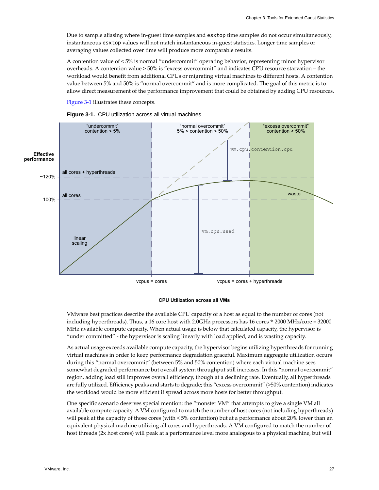Due to sample aliasing where in-guest time samples and esxtop time samples do not occur simultaneously, instantaneous esxtop values will not match instantaneous in-guest statistics. Longer time samples or averaging values collected over time will produce more comparable results.

A contention value of < 5% is normal "undercommit" operating behavior, representing minor hypervisor overheads. A contention value > 50% is "excess overcommit" and indicates CPU resource starvation – the workload would benefit from additional CPUs or migrating virtual machines to different hosts. A contention value between 5% and 50% is "normal overcommit" and is more complicated. The goal of this metric is to allow direct measurement of the performance improvement that could be obtained by adding CPU resources.

[Figure 3-1](#page-26-0) illustrates these concepts.

<span id="page-26-0"></span>



#### **CPU Utilization across all VMs**

VMware best practices describe the available CPU capacity of a host as equal to the number of cores (not including hyperthreads). Thus, a 16 core host with 2.0GHz processors has 16 cores \* 2000 MHz/core = 32000 MHz available compute capacity. When actual usage is below that calculated capacity, the hypervisor is "under committed" - the hypervisor is scaling linearly with load applied, and is wasting capacity.

As actual usage exceeds available compute capacity, the hypervisor begins utilizing hyperthreads for running virtual machines in order to keep performance degradation graceful. Maximum aggregate utilization occurs during this "normal overcommit" (between 5% and 50% contention) where each virtual machine sees somewhat degraded performance but overall system throughput still increases. In this "normal overcommit" region, adding load still improves overall efficiency, though at a declining rate. Eventually, all hyperthreads are fully utilized. Efficiency peaks and starts to degrade; this "excess overcommit" (>50% contention) indicates the workload would be more efficient if spread across more hosts for better throughput.

One specific scenario deserves special mention: the "monster VM" that attempts to give a single VM all available compute capacity. A VM configured to match the number of host cores (not including hyperthreads) will peak at the capacity of those cores (with < 5% contention) but at a performance about 20% lower than an equivalent physical machine utilizing all cores and hyperthreads. A VM configured to match the number of host threads (2x host cores) will peak at a performance level more analogous to a physical machine, but will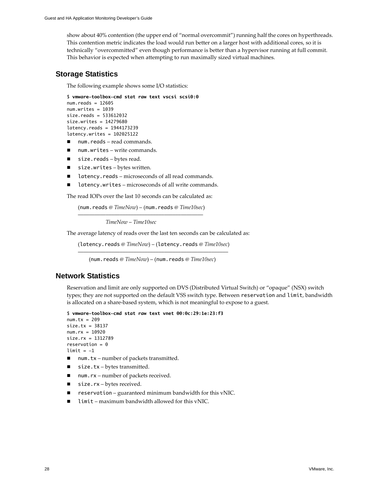show about 40% contention (the upper end of "normal overcommit") running half the cores on hyperthreads. This contention metric indicates the load would run better on a larger host with additional cores, so it is technically "overcommitted" even though performance is better than a hypervisor running at full commit. This behavior is expected when attempting to run maximally sized virtual machines.

#### <span id="page-27-0"></span>**Storage Statistics**

The following example shows some I/O statistics:

```
$ vmware-toolbox-cmd stat raw text vscsi scsi0:0
num.reads = 12605num.writes = 1039
size.reads = 533612032
size.writes = 14279680
latency.reads = 1944173239
latency.writes = 102025122
```
- num.reads read commands.
- num.writes write commands.
- size.reads bytes read.
- $\blacksquare$  size.writes bytes written.
- latency.reads microseconds of all read commands.
- latency.writes microseconds of all write commands.

The read IOPs over the last 10 seconds can be calculated as:

(num.reads @ *TimeNow*) – (num.reads @ *Time10sec*) –––––––––––––––––––––––––––––––––––––––––––––

*TimeNow* – *Time10sec*

The average latency of reads over the last ten seconds can be calculated as:

(latency.reads @ *TimeNow*) – (latency.reads @ *Time10sec*)

–––––––––––––––––––––––––––––––––––––––––––––––––––––– (num.reads @ *TimeNow*) – (num.reads @ *Time10sec*)

#### <span id="page-27-1"></span>**Network Statistics**

Reservation and limit are only supported on DVS (Distributed Virtual Switch) or "opaque" (NSX) switch types; they are not supported on the default VSS switch type. Between reservation and limit, bandwidth is allocated on a share-based system, which is not meaningful to expose to a guest.

```
$ vmware-toolbox-cmd stat raw text vnet 00:0c:29:1e:23:f3
num.txt = 209size.txt = 38137num.rx = 10920size.rx = 1312789
reservation = 0limit = -1 num.tx – number of packets transmitted.
```
- size.tx bytes transmitted.
- num.rx number of packets received.
- size.rx bytes received.
- reservation guaranteed minimum bandwidth for this vNIC.
- limit maximum bandwidth allowed for this vNIC.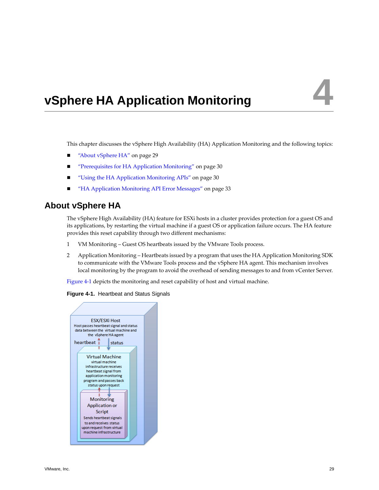# <span id="page-28-3"></span><span id="page-28-1"></span><span id="page-28-0"></span>**vSphere HA Application Monitoring 4**

This chapter discusses the vSphere High Availability (HA) Application Monitoring and the following topics:

- ["About vSphere HA" on page 29](#page-28-2)
- ["Prerequisites for HA Application Monitoring" on page 30](#page-29-0)
- ["Using the HA Application Monitoring APIs" on page 30](#page-29-1)
- ["HA Application Monitoring API Error Messages" on page 33](#page-32-0)

#### <span id="page-28-2"></span>**About vSphere HA**

The vSphere High Availability (HA) feature for ESXi hosts in a cluster provides protection for a guest OS and its applications, by restarting the virtual machine if a guest OS or application failure occurs. The HA feature provides this reset capability through two different mechanisms:

- <span id="page-28-6"></span>1 VM Monitoring – Guest OS heartbeats issued by the VMware Tools process.
- 2 Application Monitoring Heartbeats issued by a program that uses the HA Application Monitoring SDK to communicate with the VMware Tools process and the vSphere HA agent. This mechanism involves local monitoring by the program to avoid the overhead of sending messages to and from vCenter Server.

<span id="page-28-5"></span>[Figure 4-1](#page-28-4) depicts the monitoring and reset capability of host and virtual machine.

<span id="page-28-4"></span>

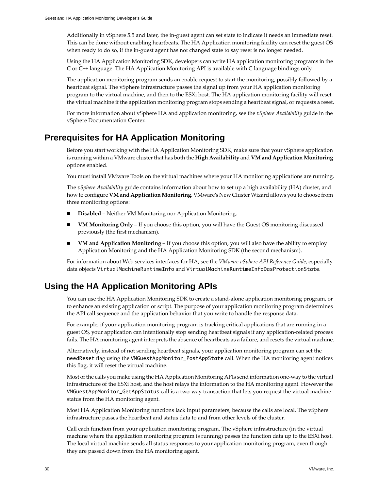Additionally in vSphere 5.5 and later, the in-guest agent can set state to indicate it needs an immediate reset. This can be done without enabling heartbeats. The HA Application monitoring facility can reset the guest OS when ready to do so, if the in-guest agent has not changed state to say reset is no longer needed.

Using the HA Application Monitoring SDK, developers can write HA application monitoring programs in the C or C++ language. The HA Application Monitoring API is available with C language bindings only.

The application monitoring program sends an enable request to start the monitoring, possibly followed by a heartbeat signal. The vSphere infrastructure passes the signal up from your HA application monitoring program to the virtual machine, and then to the ESXi host. The HA application monitoring facility will reset the virtual machine if the application monitoring program stops sending a heartbeat signal, or requests a reset.

For more information about vSphere HA and application monitoring, see the *vSphere Availability* guide in the vSphere Documentation Center.

#### <span id="page-29-0"></span>**Prerequisites for HA Application Monitoring**

Before you start working with the HA Application Monitoring SDK, make sure that your vSphere application is running within a VMware cluster that has both the **High Availability** and **VM and Application Monitoring** options enabled.

You must install VMware Tools on the virtual machines where your HA monitoring applications are running.

The *vSphere Availability* guide contains information about how to set up a high availability (HA) cluster, and how to configure **VM and Application Monitoring**. VMware's New Cluster Wizard allows you to choose from three monitoring options:

- **Disabled** Neither VM Monitoring nor Application Monitoring.
- **VM Monitoring Only** If you choose this option, you will have the Guest OS monitoring discussed previously (the first mechanism).
- **VM and Application Monitoring** If you choose this option, you will also have the ability to employ Application Monitoring and the HA Application Monitoring SDK (the second mechanism).

For information about Web services interfaces for HA, see the *VMware vSphere API Reference Guide*, especially data objects VirtualMachineRuntimeInfo and VirtualMachineRuntimeInfoDasProtectionState.

### <span id="page-29-1"></span>**Using the HA Application Monitoring APIs**

You can use the HA Application Monitoring SDK to create a stand-alone application monitoring program, or to enhance an existing application or script. The purpose of your application monitoring program determines the API call sequence and the application behavior that you write to handle the response data.

For example, if your application monitoring program is tracking critical applications that are running in a guest OS, your application can intentionally stop sending heartbeat signals if any application-related process fails. The HA monitoring agent interprets the absence of heartbeats as a failure, and resets the virtual machine.

Alternatively, instead of not sending heartbeat signals, your application monitoring program can set the needReset flag using the VMGuestAppMonitor\_PostAppState call. When the HA monitoring agent notices this flag, it will reset the virtual machine.

Most of the calls you make using the HA Application Monitoring APIs send information one-way to the virtual infrastructure of the ESXi host, and the host relays the information to the HA monitoring agent. However the VMGuestAppMonitor\_GetAppStatus call is a two-way transaction that lets you request the virtual machine status from the HA monitoring agent.

Most HA Application Monitoring functions lack input parameters, because the calls are local. The vSphere infrastructure passes the heartbeat and status data to and from other levels of the cluster.

Call each function from your application monitoring program. The vSphere infrastructure (in the virtual machine where the application monitoring program is running) passes the function data up to the ESXi host. The local virtual machine sends all status responses to your application monitoring program, even though they are passed down from the HA monitoring agent.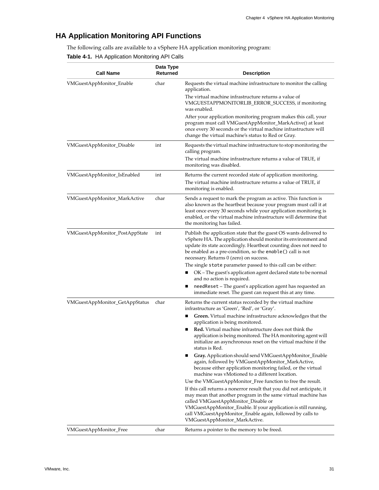### <span id="page-30-0"></span>**HA Application Monitoring API Functions**

The following calls are available to a vSphere HA application monitoring program:

<span id="page-30-5"></span>**Table 4-1.** HA Application Monitoring API Calls

<span id="page-30-14"></span><span id="page-30-13"></span><span id="page-30-12"></span><span id="page-30-11"></span><span id="page-30-10"></span><span id="page-30-9"></span><span id="page-30-8"></span><span id="page-30-7"></span><span id="page-30-6"></span><span id="page-30-4"></span><span id="page-30-3"></span><span id="page-30-2"></span><span id="page-30-1"></span>

| <b>Call Name</b>               | Data Type<br>Returned | <b>Description</b>                                                                                                                                                                                                                                                                                                 |  |  |
|--------------------------------|-----------------------|--------------------------------------------------------------------------------------------------------------------------------------------------------------------------------------------------------------------------------------------------------------------------------------------------------------------|--|--|
| VMGuestAppMonitor_Enable       | char                  | Requests the virtual machine infrastructure to monitor the calling<br>application.                                                                                                                                                                                                                                 |  |  |
|                                |                       | The virtual machine infrastructure returns a value of<br>VMGUESTAPPMONITORLIB_ERROR_SUCCESS, if monitoring<br>was enabled.                                                                                                                                                                                         |  |  |
|                                |                       | After your application monitoring program makes this call, your<br>program must call VMGuestAppMonitor_MarkActive() at least<br>once every 30 seconds or the virtual machine infrastructure will<br>change the virtual machine's status to Red or Gray.                                                            |  |  |
| VMGuestAppMonitor_Disable      | int                   | Requests the virtual machine infrastructure to stop monitoring the<br>calling program.                                                                                                                                                                                                                             |  |  |
|                                |                       | The virtual machine infrastructure returns a value of TRUE, if<br>monitoring was disabled.                                                                                                                                                                                                                         |  |  |
| VMGuestAppMonitor_IsEnabled    | int                   | Returns the current recorded state of application monitoring.                                                                                                                                                                                                                                                      |  |  |
|                                |                       | The virtual machine infrastructure returns a value of TRUE, if<br>monitoring is enabled.                                                                                                                                                                                                                           |  |  |
| VMGuestAppMonitor_MarkActive   | char                  | Sends a request to mark the program as active. This function is<br>also known as the heartbeat because your program must call it at<br>least once every 30 seconds while your application monitoring is<br>enabled, or the virtual machine infrastructure will determine that<br>the monitoring has failed.        |  |  |
| VMGuestAppMonitor_PostAppState | int                   | Publish the application state that the guest OS wants delivered to<br>vSphere HA. The application should monitor its environment and<br>update its state accordingly. Heartbeat counting does not need to<br>be enabled as a pre-condition, so the enable() call is not<br>necessary. Returns 0 (zero) on success. |  |  |
|                                |                       | The single state parameter passed to this call can be either:<br>OK – The guest's application agent declared state to be normal<br>п<br>and no action is required.                                                                                                                                                 |  |  |
|                                |                       | needReset – The guest's application agent has requested an<br>п<br>immediate reset. The guest can request this at any time.                                                                                                                                                                                        |  |  |
| VMGuestAppMonitor_GetAppStatus | char                  | Returns the current status recorded by the virtual machine<br>infrastructure as 'Green', 'Red', or 'Gray'.                                                                                                                                                                                                         |  |  |
|                                |                       | Green. Virtual machine infrastructure acknowledges that the<br>п<br>application is being monitored.                                                                                                                                                                                                                |  |  |
|                                |                       | Red. Virtual machine infrastructure does not think the<br>■<br>application is being monitored. The HA monitoring agent will<br>initialize an asynchronous reset on the virtual machine if the<br>status is Red.                                                                                                    |  |  |
|                                |                       | Gray. Application should send VMGuestAppMonitor_Enable<br>п<br>again, followed by VMGuestAppMonitor_MarkActive,<br>because either application monitoring failed, or the virtual<br>machine was vMotioned to a different location.                                                                                  |  |  |
|                                |                       | Use the VMGuestAppMonitor_Free function to free the result.                                                                                                                                                                                                                                                        |  |  |
|                                |                       | If this call returns a nonerror result that you did not anticipate, it<br>may mean that another program in the same virtual machine has<br>called VMGuestAppMonitor_Disable or<br>VMGuestAppMonitor_Enable. If your application is still running,<br>call VMGuestAppMonitor_Enable again, followed by calls to     |  |  |
|                                |                       | VMGuestAppMonitor_MarkActive.                                                                                                                                                                                                                                                                                      |  |  |
| VMGuestAppMonitor_Free         | char                  | Returns a pointer to the memory to be freed.                                                                                                                                                                                                                                                                       |  |  |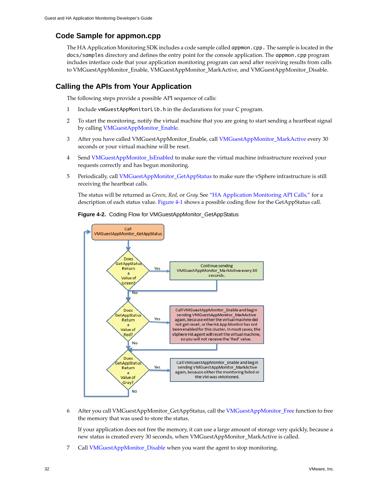#### <span id="page-31-0"></span>**Code Sample for appmon.cpp**

<span id="page-31-3"></span>The HA Application Monitoring SDK includes a code sample called appmon.cpp. The sample is located in the docs/samples directory and defines the entry point for the console application. The appmon.cpp program includes interface code that your application monitoring program can send after receiving results from calls to VMGuestAppMonitor\_Enable, VMGuestAppMonitor\_MarkActive, and VMGuestAppMonitor\_Disable.

#### <span id="page-31-1"></span>**Calling the APIs from Your Application**

<span id="page-31-2"></span>The following steps provide a possible API sequence of calls:

- 1 Include vmGuestAppMonitorLib.h in the declarations for your C program.
- 2 To start the monitoring, notify the virtual machine that you are going to start sending a heartbeat signal by calling [VMGuestAppMonitor\\_Enable](#page-30-1).
- 3 After you have called VMGuestAppMonitor\_Enable, call [VMGuestAppMonitor\\_MarkActive](#page-30-2) every 30 seconds or your virtual machine will be reset.
- 4 Send [VMGuestAppMonitor\\_IsEnabled](#page-30-3) to make sure the virtual machine infrastructure received your requests correctly and has begun monitoring.
- 5 Periodically, call [VMGuestAppMonitor\\_GetAppStatus](#page-30-4) to make sure the vSphere infrastructure is still receiving the heartbeat calls.

The status will be returned as *Green*, *Red*, or *Gray*. See ["HA Application Monitoring API Calls,"](#page-30-5) for a description of each status value. [Figure 4-1](#page-28-4) shows a possible coding flow for the GetAppStatus call.



**Figure 4-2.** Coding Flow for VMGuestAppMonitor\_GetAppStatus

6 After you call VMGuestAppMonitor\_GetAppStatus, call the [VMGuestAppMonitor\\_Free](#page-30-6) function to free the memory that was used to store the status.

If your application does not free the memory, it can use a large amount of storage very quickly, because a new status is created every 30 seconds, when VMGuestAppMonitor\_MarkActive is called.

7 Call [VMGuestAppMonitor\\_Disable](#page-30-7) when you want the agent to stop monitoring.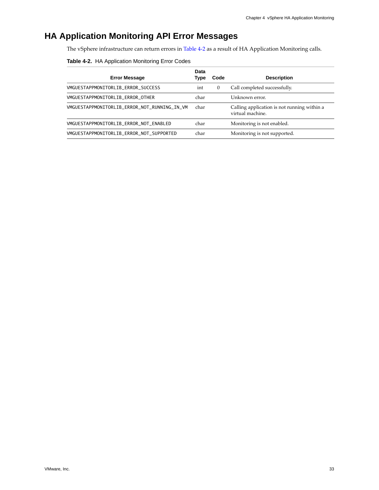# <span id="page-32-0"></span>**HA Application Monitoring API Error Messages**

<span id="page-32-2"></span>The vSphere infrastructure can return errors in [Table 4-2](#page-32-1) as a result of HA Application Monitoring calls.

#### <span id="page-32-1"></span>**Table 4-2.** HA Application Monitoring Error Codes

| <b>Error Message</b>                         | Data<br>Type | Code | <b>Description</b>                                              |
|----------------------------------------------|--------------|------|-----------------------------------------------------------------|
| VMGUESTAPPMONITORLIB_ERROR_SUCCESS           | int          | 0    | Call completed successfully.                                    |
| VMGUESTAPPMONITORLIB_ERROR_OTHER             | char         |      | Unknown error.                                                  |
| VMGUESTAPPMONITORLIB_ERROR_NOT_RUNNING_IN_VM | char         |      | Calling application is not running within a<br>virtual machine. |
| VMGUESTAPPMONITORLIB_ERROR_NOT_ENABLED       | char         |      | Monitoring is not enabled.                                      |
| VMGUESTAPPMONITORLIB_ERROR_NOT_SUPPORTED     | char         |      | Monitoring is not supported.                                    |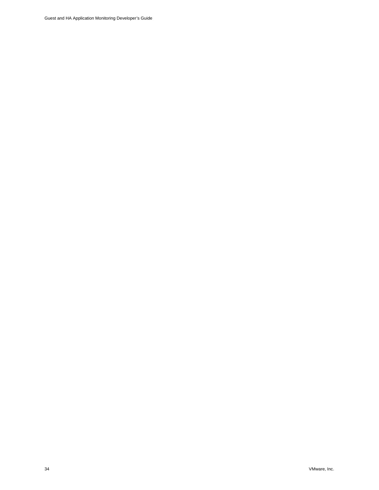Guest and HA Application Monitoring Developer's Guide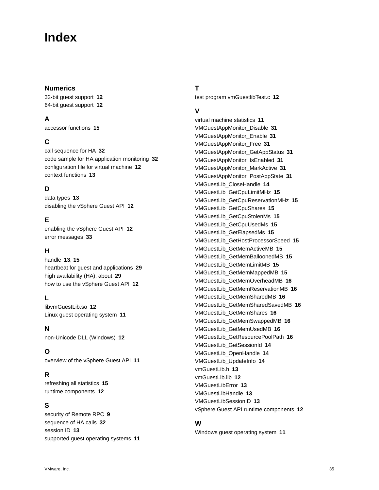# <span id="page-34-0"></span>**Index**

#### **Numerics**

32-bit guest support **[12](#page-11-3)** 64-bit guest support **[12](#page-11-4)**

#### **A**

accessor functions **[15](#page-14-3)**

#### **C**

call sequence for HA **[32](#page-31-2)** code sample for HA application monitoring **[32](#page-31-3)** configuration file for virtual machine **[12](#page-11-5)** context functions **[13](#page-12-4)**

#### **D**

data types **[13](#page-12-5)** disabling the vSphere Guest API **[12](#page-11-5)**

#### **E**

enabling the vSphere Guest API **[12](#page-11-6)** error messages **[33](#page-32-2)**

#### **H**

handle **[13](#page-12-6)**, **[15](#page-14-4)** heartbeat for guest and applications **[29](#page-28-5)** high availability (HA), about **[29](#page-28-6)** how to use the vSphere Guest API **[12](#page-11-7)**

#### **L**

libvmGuestLib.so **[12](#page-11-8)** Linux guest operating system **[11](#page-10-5)**

**N** non-Unicode DLL (Windows) **[12](#page-11-9)**

**O** overview of the vSphere Guest API **[11](#page-10-6)**

#### **R**

refreshing all statistics **[15](#page-14-5)** runtime components **[12](#page-11-10)**

#### **S**

security of Remote RPC **[9](#page-8-2)** sequence of HA calls **[32](#page-31-2)** session ID **[13](#page-12-7)** supported guest operating systems **[11](#page-10-7)**

## **T**

test program vmGuestlibTest.c **[12](#page-11-11)**

#### **V**

virtual machine statistics **[11](#page-10-8)** VMGuestAppMonitor\_Disable **[31](#page-30-8)** VMGuestAppMonitor\_Enable **[31](#page-30-9)** VMGuestAppMonitor\_Free **[31](#page-30-10)** VMGuestAppMonitor\_GetAppStatus **[31](#page-30-11)** VMGuestAppMonitor\_IsEnabled **[31](#page-30-12)** VMGuestAppMonitor\_MarkActive **[31](#page-30-13)** VMGuestAppMonitor\_PostAppState **[31](#page-30-14)** VMGuestLib\_CloseHandle **[14](#page-13-3)** VMGuestLib\_GetCpuLimitMHz **[15](#page-14-6)** VMGuestLib\_GetCpuReservationMHz **[15](#page-14-7)** VMGuestLib\_GetCpuShares **[15](#page-14-8)** VMGuestLib\_GetCpuStolenMs **[15](#page-14-9)** VMGuestLib\_GetCpuUsedMs **[15](#page-14-10)** VMGuestLib\_GetElapsedMs **[15](#page-14-11)** VMGuestLib\_GetHostProcessorSpeed **[15](#page-14-12)** VMGuestLib\_GetMemActiveMB **[15](#page-14-13)** VMGuestLib\_GetMemBalloonedMB **[15](#page-14-14)** VMGuestLib\_GetMemLimitMB **[15](#page-14-15)** VMGuestLib\_GetMemMappedMB **[15](#page-14-16)** VMGuestLib\_GetMemOverheadMB **[16](#page-15-1)** VMGuestLib\_GetMemReservationMB **[16](#page-15-2)** VMGuestLib\_GetMemSharedMB **[16](#page-15-3)** VMGuestLib\_GetMemSharedSavedMB **[16](#page-15-4)** VMGuestLib\_GetMemShares **[16](#page-15-5)** VMGuestLib\_GetMemSwappedMB **[16](#page-15-6)** VMGuestLib\_GetMemUsedMB **[16](#page-15-7)** VMGuestLib\_GetResourcePoolPath **[16](#page-15-8)** VMGuestLib\_GetSessionId **[14](#page-13-4)** VMGuestLib\_OpenHandle **[14](#page-13-5)** VMGuestLib\_UpdateInfo **[14](#page-13-6)** vmGuestLib.h **[13](#page-12-8)** vmGuestLib.lib **[12](#page-11-12)** VMGuestLibError **[13](#page-12-9)** VMGuestLibHandle **[13](#page-12-6)** VMGuestLibSessionID **[13](#page-12-7)** vSphere Guest API runtime components **[12](#page-11-10)**

#### **W**

Windows guest operating system **[11](#page-10-9)**